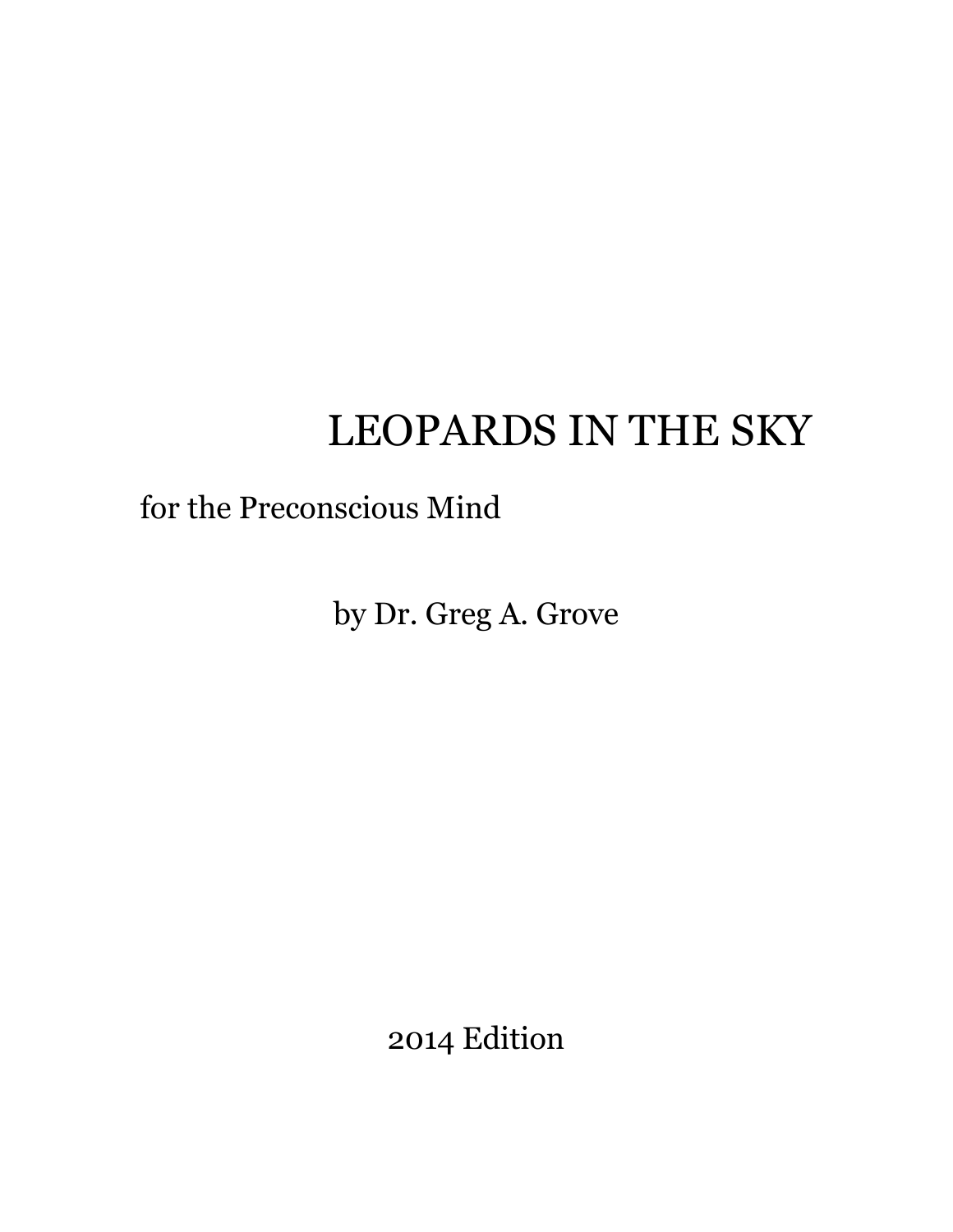# LEOPARDS IN THE SKY

## for the Preconscious Mind

by Dr. Greg A. Grove

2014 Edition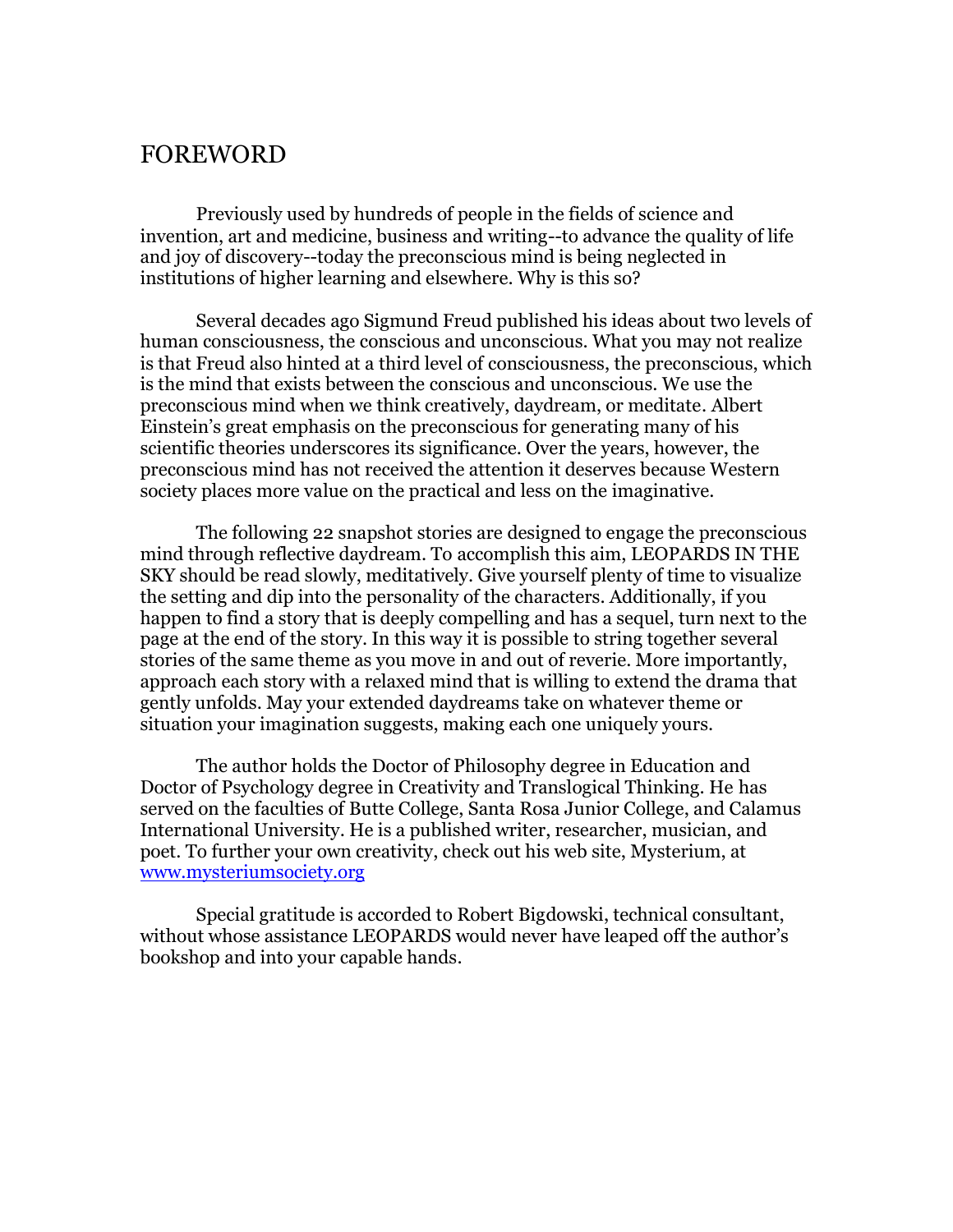#### FOREWORD

Previously used by hundreds of people in the fields of science and invention, art and medicine, business and writing--to advance the quality of life and joy of discovery--today the preconscious mind is being neglected in institutions of higher learning and elsewhere. Why is this so?

Several decades ago Sigmund Freud published his ideas about two levels of human consciousness, the conscious and unconscious. What you may not realize is that Freud also hinted at a third level of consciousness, the preconscious, which is the mind that exists between the conscious and unconscious. We use the preconscious mind when we think creatively, daydream, or meditate. Albert Einstein's great emphasis on the preconscious for generating many of his scientific theories underscores its significance. Over the years, however, the preconscious mind has not received the attention it deserves because Western society places more value on the practical and less on the imaginative.

The following 22 snapshot stories are designed to engage the preconscious mind through reflective daydream. To accomplish this aim, LEOPARDS IN THE SKY should be read slowly, meditatively. Give yourself plenty of time to visualize the setting and dip into the personality of the characters. Additionally, if you happen to find a story that is deeply compelling and has a sequel, turn next to the page at the end of the story. In this way it is possible to string together several stories of the same theme as you move in and out of reverie. More importantly, approach each story with a relaxed mind that is willing to extend the drama that gently unfolds. May your extended daydreams take on whatever theme or situation your imagination suggests, making each one uniquely yours.

The author holds the Doctor of Philosophy degree in Education and Doctor of Psychology degree in Creativity and Translogical Thinking. He has served on the faculties of Butte College, Santa Rosa Junior College, and Calamus International University. He is a published writer, researcher, musician, and poet. To further your own creativity, check out his web site, Mysterium, at [www.mysteriumsociety.org](http://www.mysteriumsociety.org/)

Special gratitude is accorded to Robert Bigdowski, technical consultant, without whose assistance LEOPARDS would never have leaped off the author's bookshop and into your capable hands.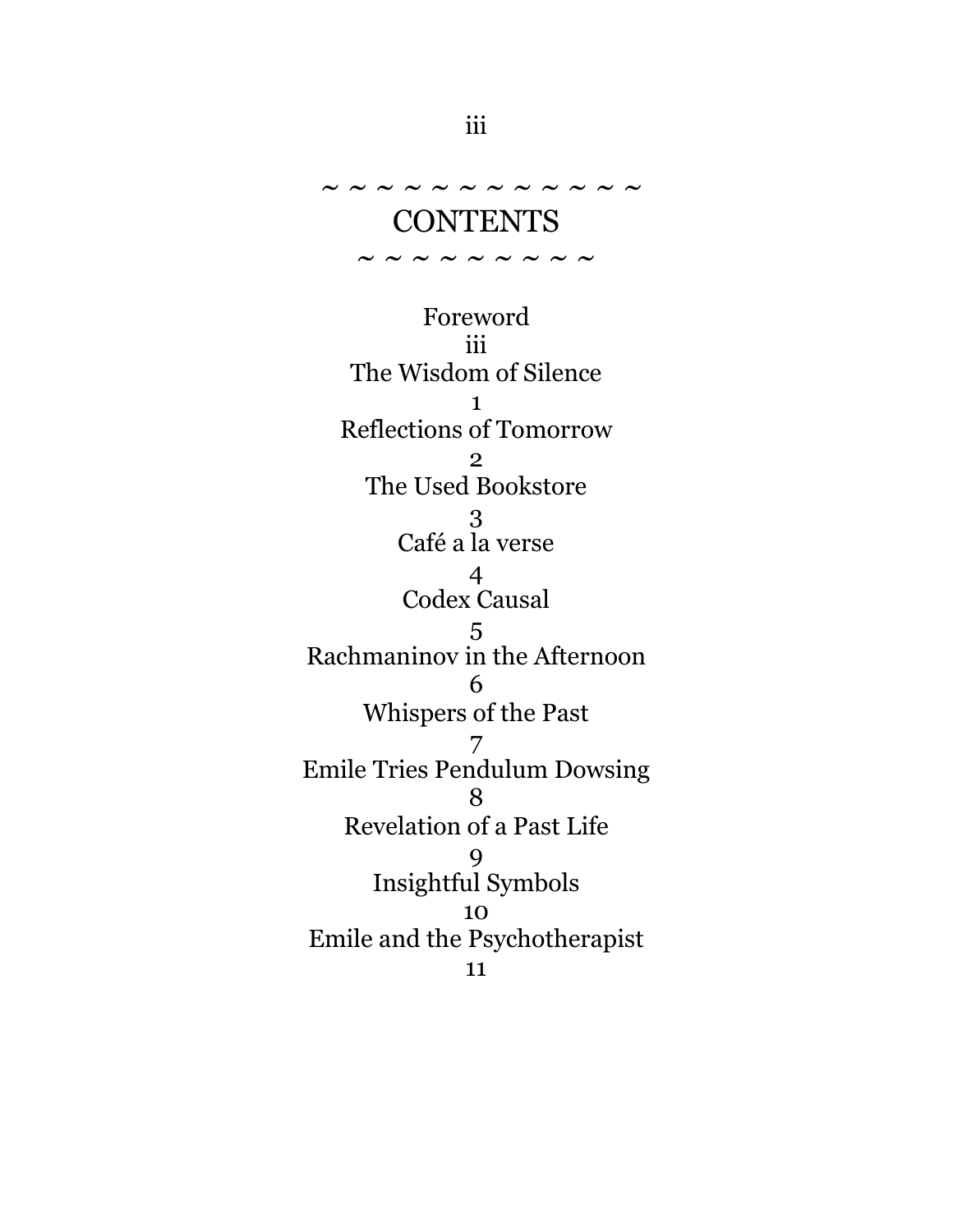CONTENTS

~ ~ ~ ~ ~ ~ ~ ~ ~

 $\sim$   $\sim$   $\sim$   $\sim$   $\sim$   $\sim$   $\sim$ 

Foreword iii The Wisdom of Silence 1 Reflections of Tomorrow 2 The Used Bookstore 3 Café a la verse 4 Codex Causal 5 Rachmaninov in the Afternoon 6 Whispers of the Past 7 Emile Tries Pendulum Dowsing 8 Revelation of a Past Life 9 Insightful Symbols 10 Emile and the Psychotherapist 11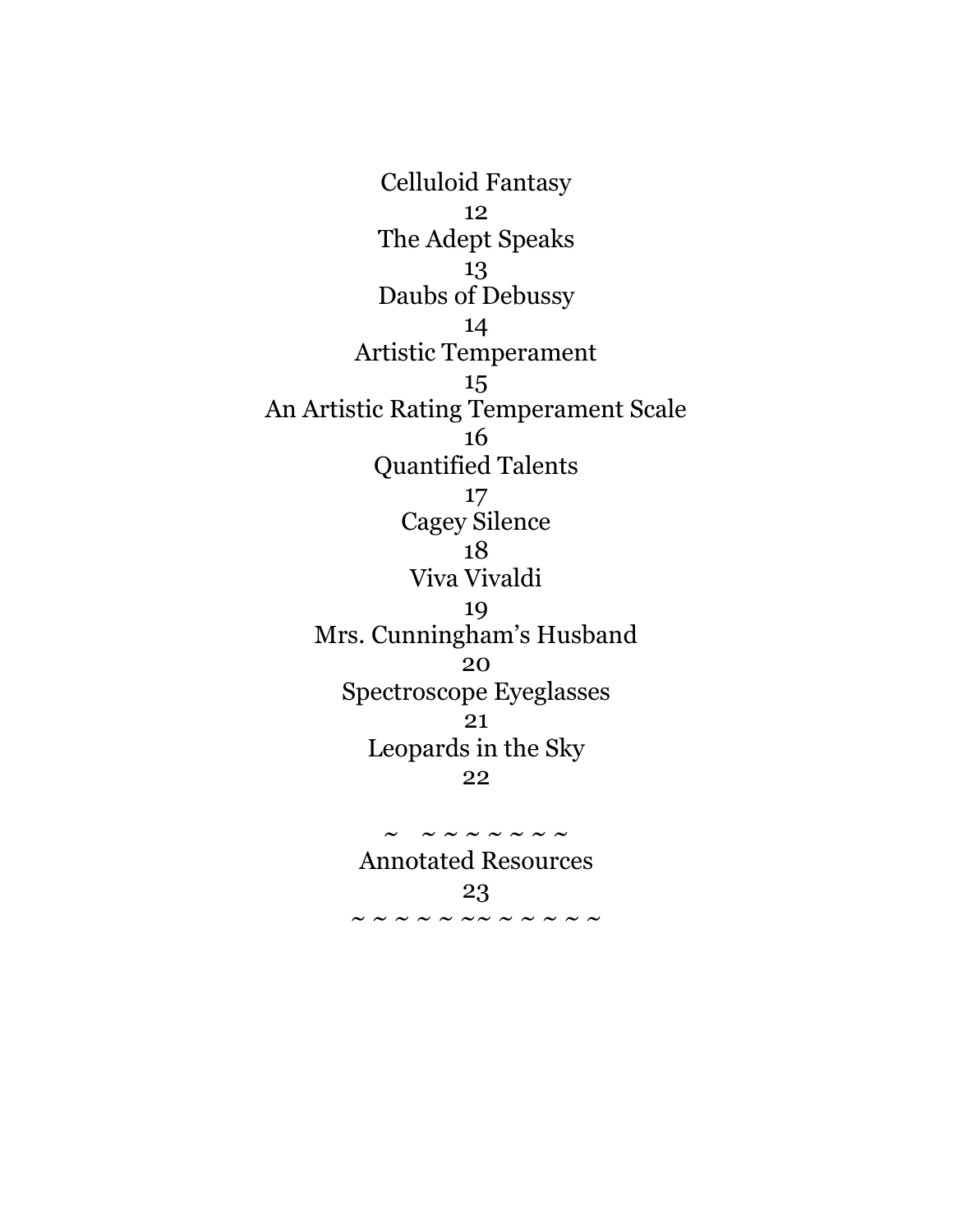Celluloid Fantasy 12 The Adept Speaks 13 Daubs of Debussy 14 Artistic Temperament 15 An Artistic Rating Temperament Scale 16 Quantified Talents 17 Cagey Silence 18 Viva Vivaldi 19 Mrs. Cunningham's Husband 20 Spectroscope Eyeglasses 21 Leopards in the Sky 22

> Annotated Resources 23 ~ ~ ~ ~ ~ ~~ ~ ~ ~ ~ ~

 $\sim$   $\sim$   $\sim$   $\sim$   $\sim$   $\sim$   $\sim$   $\sim$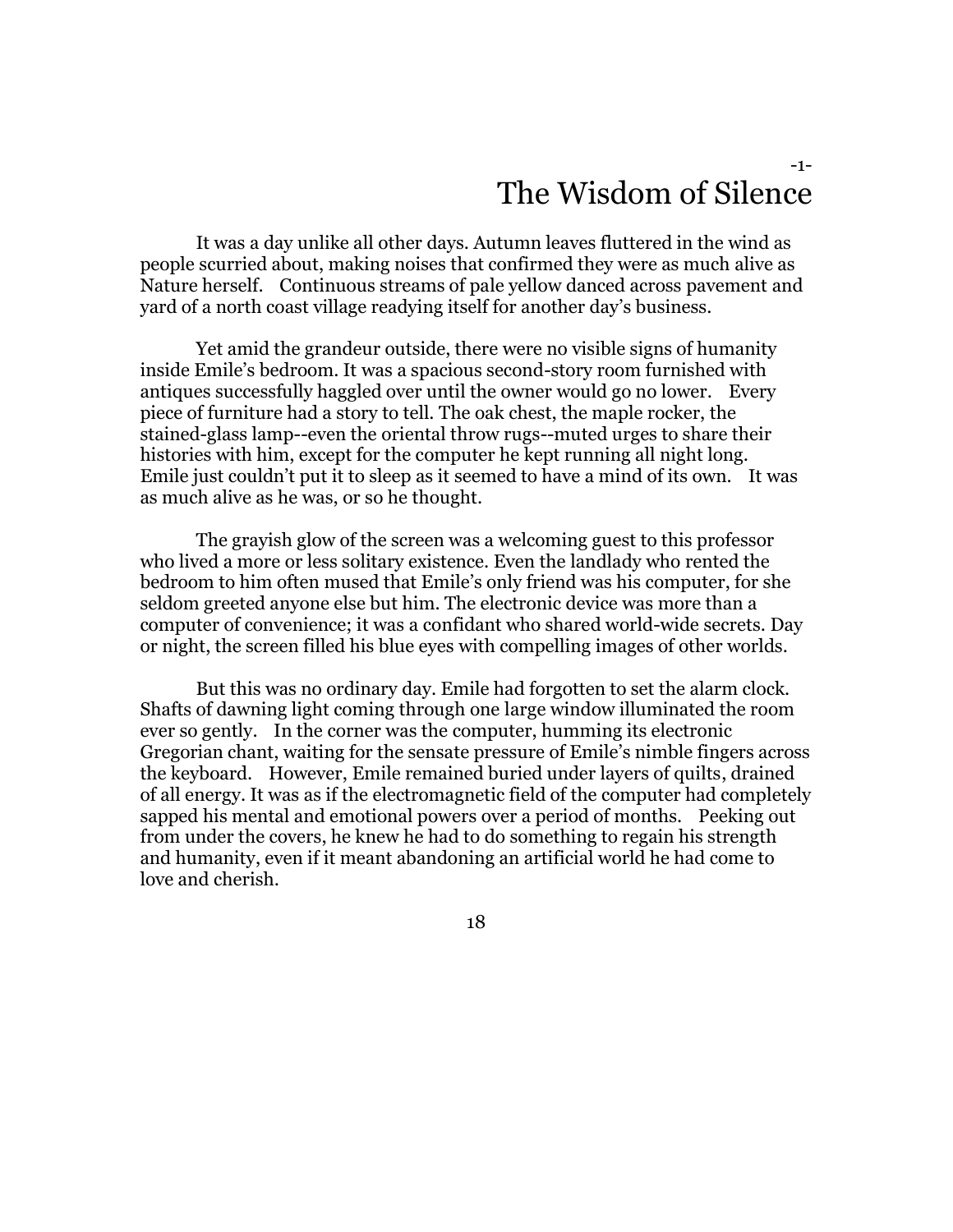#### -1- The Wisdom of Silence

It was a day unlike all other days. Autumn leaves fluttered in the wind as people scurried about, making noises that confirmed they were as much alive as Nature herself. Continuous streams of pale yellow danced across pavement and yard of a north coast village readying itself for another day's business.

Yet amid the grandeur outside, there were no visible signs of humanity inside Emile's bedroom. It was a spacious second-story room furnished with antiques successfully haggled over until the owner would go no lower. Every piece of furniture had a story to tell. The oak chest, the maple rocker, the stained-glass lamp--even the oriental throw rugs--muted urges to share their histories with him, except for the computer he kept running all night long. Emile just couldn't put it to sleep as it seemed to have a mind of its own. It was as much alive as he was, or so he thought.

The grayish glow of the screen was a welcoming guest to this professor who lived a more or less solitary existence. Even the landlady who rented the bedroom to him often mused that Emile's only friend was his computer, for she seldom greeted anyone else but him. The electronic device was more than a computer of convenience; it was a confidant who shared world-wide secrets. Day or night, the screen filled his blue eyes with compelling images of other worlds.

But this was no ordinary day. Emile had forgotten to set the alarm clock. Shafts of dawning light coming through one large window illuminated the room ever so gently. In the corner was the computer, humming its electronic Gregorian chant, waiting for the sensate pressure of Emile's nimble fingers across the keyboard. However, Emile remained buried under layers of quilts, drained of all energy. It was as if the electromagnetic field of the computer had completely sapped his mental and emotional powers over a period of months. Peeking out from under the covers, he knew he had to do something to regain his strength and humanity, even if it meant abandoning an artificial world he had come to love and cherish.

18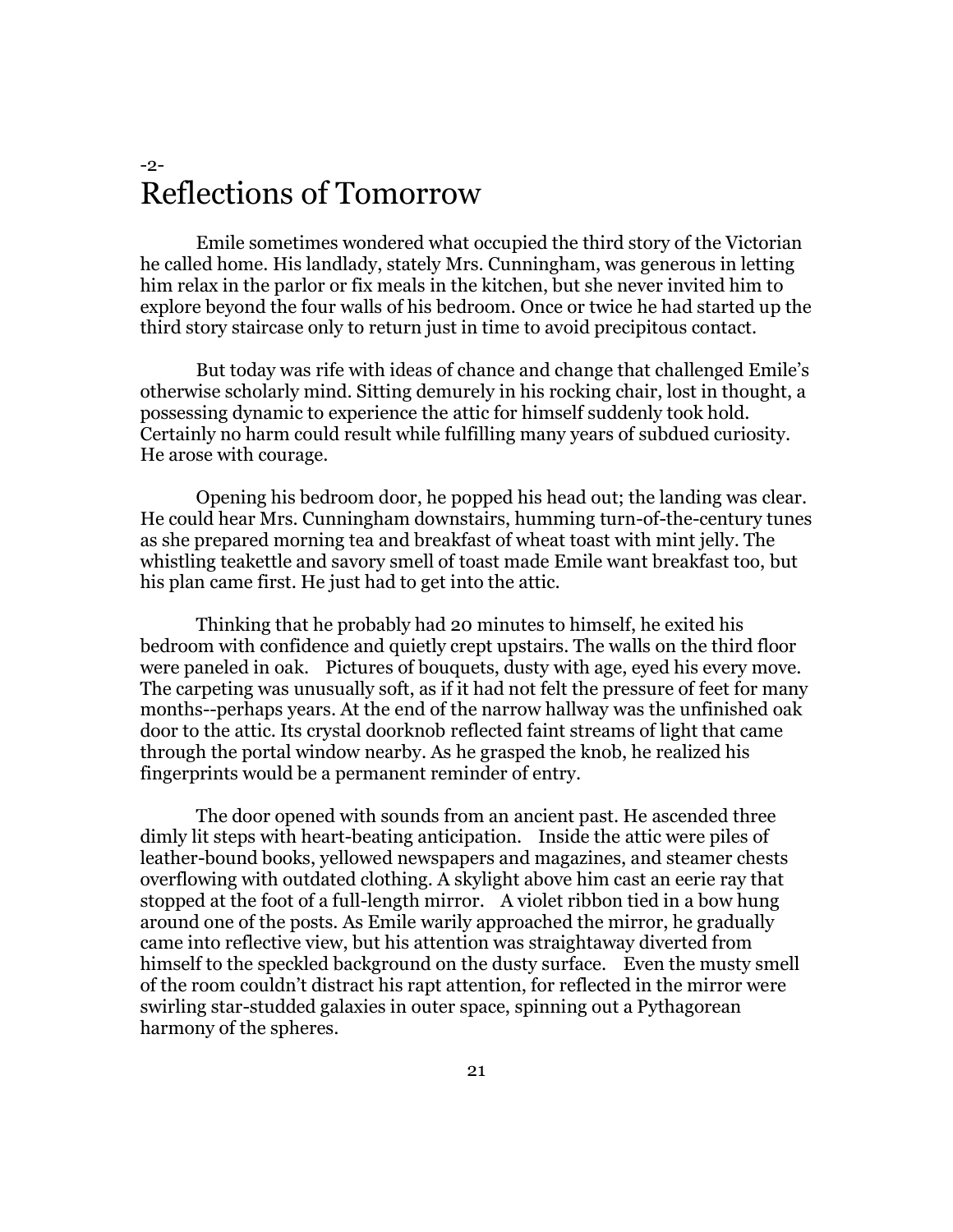#### -2- Reflections of Tomorrow

Emile sometimes wondered what occupied the third story of the Victorian he called home. His landlady, stately Mrs. Cunningham, was generous in letting him relax in the parlor or fix meals in the kitchen, but she never invited him to explore beyond the four walls of his bedroom. Once or twice he had started up the third story staircase only to return just in time to avoid precipitous contact.

But today was rife with ideas of chance and change that challenged Emile's otherwise scholarly mind. Sitting demurely in his rocking chair, lost in thought, a possessing dynamic to experience the attic for himself suddenly took hold. Certainly no harm could result while fulfilling many years of subdued curiosity. He arose with courage.

Opening his bedroom door, he popped his head out; the landing was clear. He could hear Mrs. Cunningham downstairs, humming turn-of-the-century tunes as she prepared morning tea and breakfast of wheat toast with mint jelly. The whistling teakettle and savory smell of toast made Emile want breakfast too, but his plan came first. He just had to get into the attic.

Thinking that he probably had 20 minutes to himself, he exited his bedroom with confidence and quietly crept upstairs. The walls on the third floor were paneled in oak. Pictures of bouquets, dusty with age, eyed his every move. The carpeting was unusually soft, as if it had not felt the pressure of feet for many months--perhaps years. At the end of the narrow hallway was the unfinished oak door to the attic. Its crystal doorknob reflected faint streams of light that came through the portal window nearby. As he grasped the knob, he realized his fingerprints would be a permanent reminder of entry.

The door opened with sounds from an ancient past. He ascended three dimly lit steps with heart-beating anticipation. Inside the attic were piles of leather-bound books, yellowed newspapers and magazines, and steamer chests overflowing with outdated clothing. A skylight above him cast an eerie ray that stopped at the foot of a full-length mirror. A violet ribbon tied in a bow hung around one of the posts. As Emile warily approached the mirror, he gradually came into reflective view, but his attention was straightaway diverted from himself to the speckled background on the dusty surface. Even the musty smell of the room couldn't distract his rapt attention, for reflected in the mirror were swirling star-studded galaxies in outer space, spinning out a Pythagorean harmony of the spheres.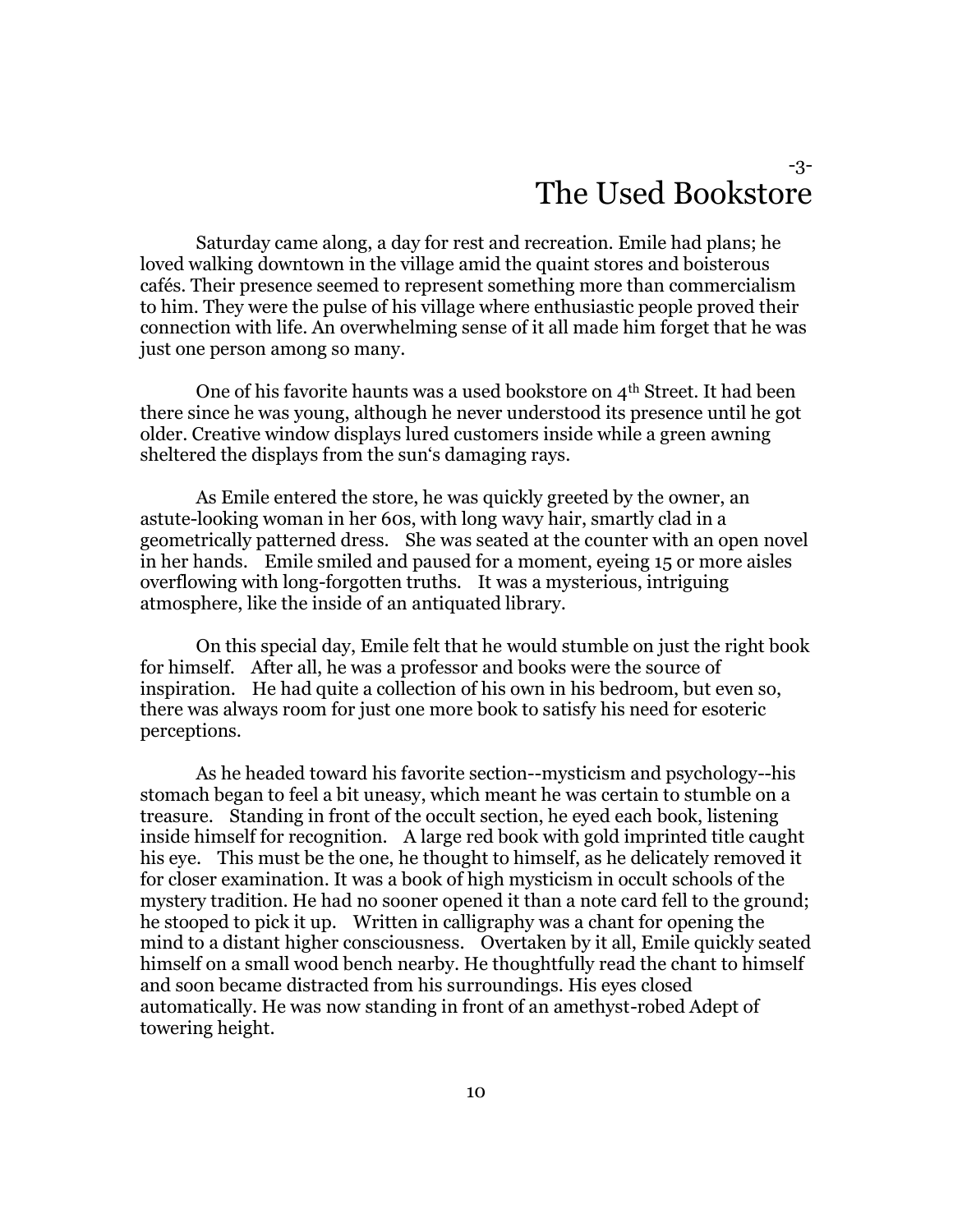#### -3- The Used Bookstore

Saturday came along, a day for rest and recreation. Emile had plans; he loved walking downtown in the village amid the quaint stores and boisterous cafés. Their presence seemed to represent something more than commercialism to him. They were the pulse of his village where enthusiastic people proved their connection with life. An overwhelming sense of it all made him forget that he was just one person among so many.

One of his favorite haunts was a used bookstore on 4th Street. It had been there since he was young, although he never understood its presence until he got older. Creative window displays lured customers inside while a green awning sheltered the displays from the sun's damaging rays.

As Emile entered the store, he was quickly greeted by the owner, an astute-looking woman in her 60s, with long wavy hair, smartly clad in a geometrically patterned dress. She was seated at the counter with an open novel in her hands. Emile smiled and paused for a moment, eyeing 15 or more aisles overflowing with long-forgotten truths. It was a mysterious, intriguing atmosphere, like the inside of an antiquated library.

On this special day, Emile felt that he would stumble on just the right book for himself. After all, he was a professor and books were the source of inspiration. He had quite a collection of his own in his bedroom, but even so, there was always room for just one more book to satisfy his need for esoteric perceptions.

As he headed toward his favorite section--mysticism and psychology--his stomach began to feel a bit uneasy, which meant he was certain to stumble on a treasure. Standing in front of the occult section, he eyed each book, listening inside himself for recognition. A large red book with gold imprinted title caught his eye. This must be the one, he thought to himself, as he delicately removed it for closer examination. It was a book of high mysticism in occult schools of the mystery tradition. He had no sooner opened it than a note card fell to the ground; he stooped to pick it up. Written in calligraphy was a chant for opening the mind to a distant higher consciousness. Overtaken by it all, Emile quickly seated himself on a small wood bench nearby. He thoughtfully read the chant to himself and soon became distracted from his surroundings. His eyes closed automatically. He was now standing in front of an amethyst-robed Adept of towering height.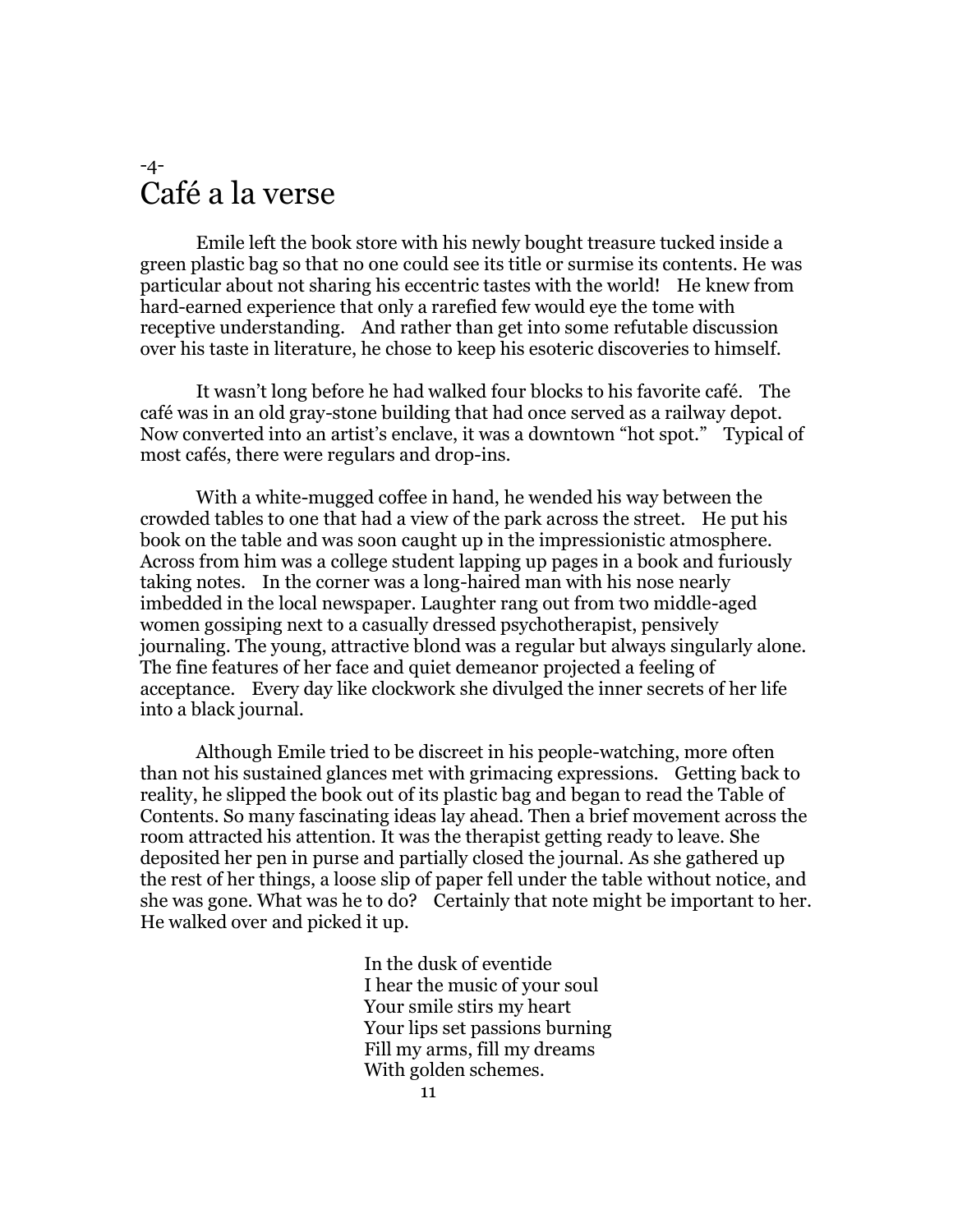#### -4- Café a la verse

Emile left the book store with his newly bought treasure tucked inside a green plastic bag so that no one could see its title or surmise its contents. He was particular about not sharing his eccentric tastes with the world! He knew from hard-earned experience that only a rarefied few would eye the tome with receptive understanding. And rather than get into some refutable discussion over his taste in literature, he chose to keep his esoteric discoveries to himself.

It wasn't long before he had walked four blocks to his favorite café. The café was in an old gray-stone building that had once served as a railway depot. Now converted into an artist's enclave, it was a downtown "hot spot." Typical of most cafés, there were regulars and drop-ins.

With a white-mugged coffee in hand, he wended his way between the crowded tables to one that had a view of the park across the street. He put his book on the table and was soon caught up in the impressionistic atmosphere. Across from him was a college student lapping up pages in a book and furiously taking notes. In the corner was a long-haired man with his nose nearly imbedded in the local newspaper. Laughter rang out from two middle-aged women gossiping next to a casually dressed psychotherapist, pensively journaling. The young, attractive blond was a regular but always singularly alone. The fine features of her face and quiet demeanor projected a feeling of acceptance. Every day like clockwork she divulged the inner secrets of her life into a black journal.

Although Emile tried to be discreet in his people-watching, more often than not his sustained glances met with grimacing expressions. Getting back to reality, he slipped the book out of its plastic bag and began to read the Table of Contents. So many fascinating ideas lay ahead. Then a brief movement across the room attracted his attention. It was the therapist getting ready to leave. She deposited her pen in purse and partially closed the journal. As she gathered up the rest of her things, a loose slip of paper fell under the table without notice, and she was gone. What was he to do? Certainly that note might be important to her. He walked over and picked it up.

> In the dusk of eventide I hear the music of your soul Your smile stirs my heart Your lips set passions burning Fill my arms, fill my dreams With golden schemes.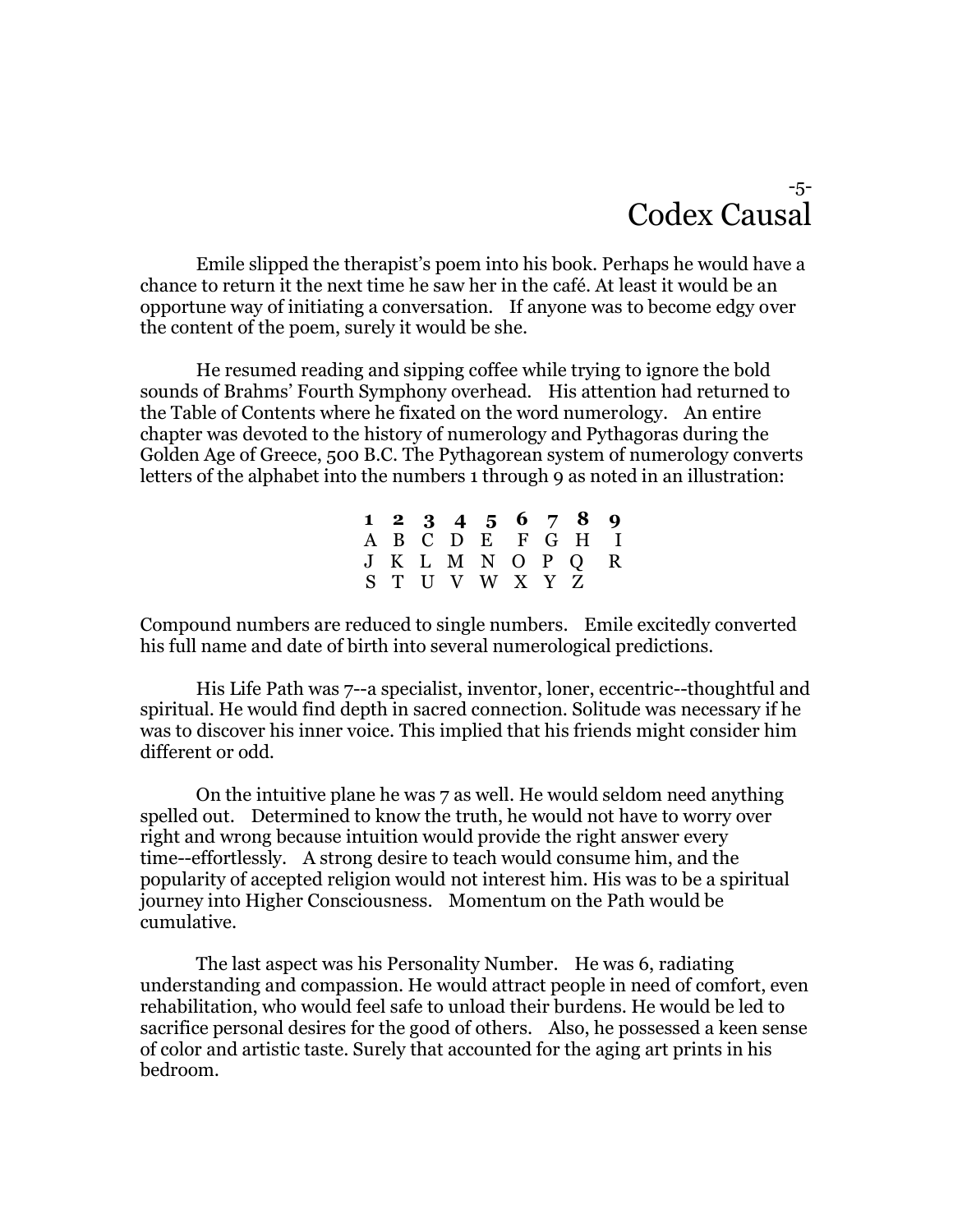#### -5- Codex Causal

Emile slipped the therapist's poem into his book. Perhaps he would have a chance to return it the next time he saw her in the café. At least it would be an opportune way of initiating a conversation. If anyone was to become edgy over the content of the poem, surely it would be she.

He resumed reading and sipping coffee while trying to ignore the bold sounds of Brahms' Fourth Symphony overhead. His attention had returned to the Table of Contents where he fixated on the word numerology. An entire chapter was devoted to the history of numerology and Pythagoras during the Golden Age of Greece, 500 B.C. The Pythagorean system of numerology converts letters of the alphabet into the numbers 1 through 9 as noted in an illustration:

|  |  |                 |  | $1\;\;2\;\;3\;\;4\;\;5\;\;6\;\;7\;\;8\;\;9$ |  |
|--|--|-----------------|--|---------------------------------------------|--|
|  |  |                 |  | A B C D E F G H I                           |  |
|  |  |                 |  | J K L M N O P Q R                           |  |
|  |  | S T U V W X Y Z |  |                                             |  |

Compound numbers are reduced to single numbers. Emile excitedly converted his full name and date of birth into several numerological predictions.

His Life Path was 7--a specialist, inventor, loner, eccentric--thoughtful and spiritual. He would find depth in sacred connection. Solitude was necessary if he was to discover his inner voice. This implied that his friends might consider him different or odd.

On the intuitive plane he was 7 as well. He would seldom need anything spelled out. Determined to know the truth, he would not have to worry over right and wrong because intuition would provide the right answer every time--effortlessly. A strong desire to teach would consume him, and the popularity of accepted religion would not interest him. His was to be a spiritual journey into Higher Consciousness. Momentum on the Path would be cumulative.

The last aspect was his Personality Number. He was 6, radiating understanding and compassion. He would attract people in need of comfort, even rehabilitation, who would feel safe to unload their burdens. He would be led to sacrifice personal desires for the good of others. Also, he possessed a keen sense of color and artistic taste. Surely that accounted for the aging art prints in his bedroom.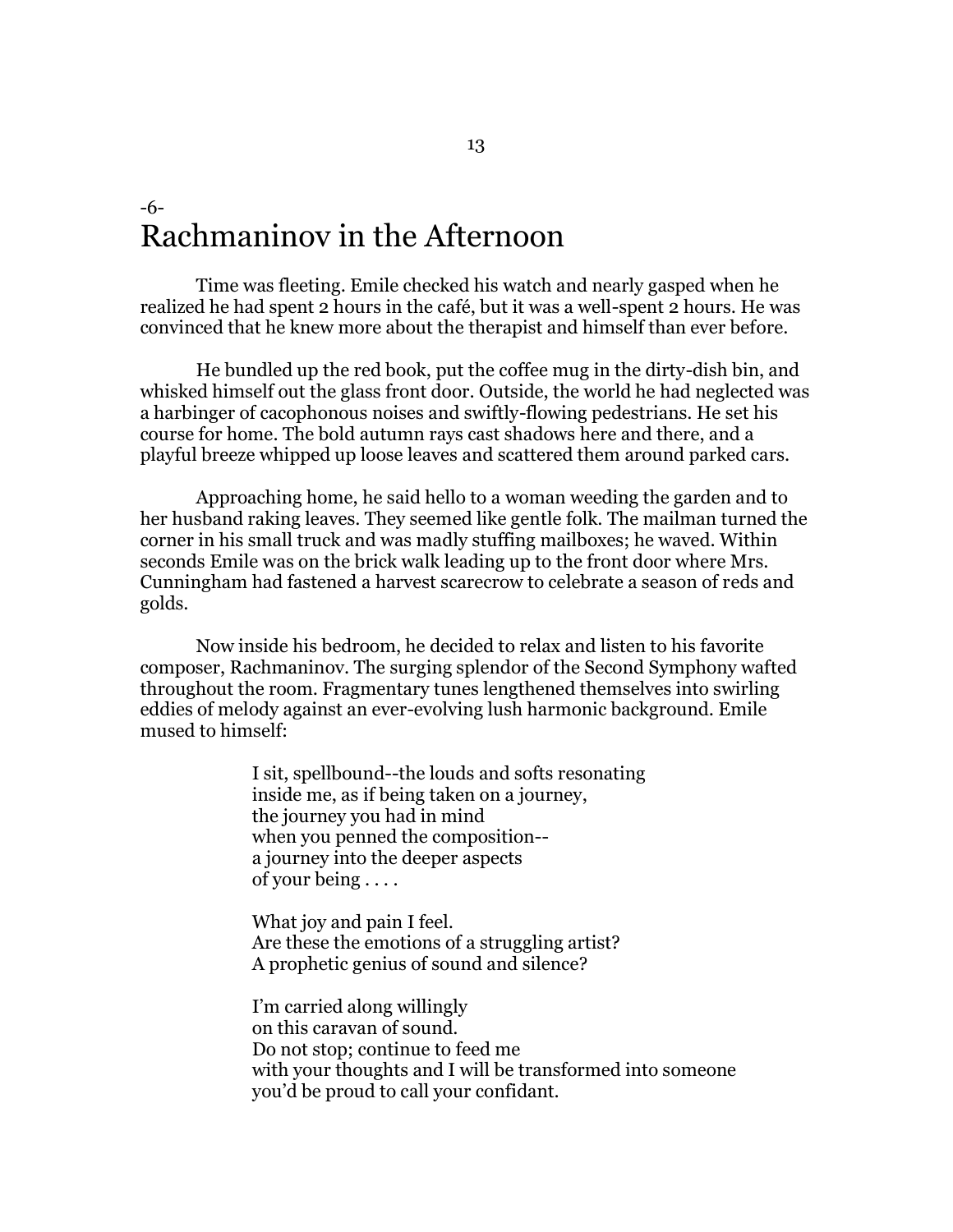### -6- Rachmaninov in the Afternoon

Time was fleeting. Emile checked his watch and nearly gasped when he realized he had spent 2 hours in the café, but it was a well-spent 2 hours. He was convinced that he knew more about the therapist and himself than ever before.

He bundled up the red book, put the coffee mug in the dirty-dish bin, and whisked himself out the glass front door. Outside, the world he had neglected was a harbinger of cacophonous noises and swiftly-flowing pedestrians. He set his course for home. The bold autumn rays cast shadows here and there, and a playful breeze whipped up loose leaves and scattered them around parked cars.

Approaching home, he said hello to a woman weeding the garden and to her husband raking leaves. They seemed like gentle folk. The mailman turned the corner in his small truck and was madly stuffing mailboxes; he waved. Within seconds Emile was on the brick walk leading up to the front door where Mrs. Cunningham had fastened a harvest scarecrow to celebrate a season of reds and golds.

Now inside his bedroom, he decided to relax and listen to his favorite composer, Rachmaninov. The surging splendor of the Second Symphony wafted throughout the room. Fragmentary tunes lengthened themselves into swirling eddies of melody against an ever-evolving lush harmonic background. Emile mused to himself:

> I sit, spellbound--the louds and softs resonating inside me, as if being taken on a journey, the journey you had in mind when you penned the composition- a journey into the deeper aspects of your being . . . .

What joy and pain I feel. Are these the emotions of a struggling artist? A prophetic genius of sound and silence?

I'm carried along willingly on this caravan of sound. Do not stop; continue to feed me with your thoughts and I will be transformed into someone you'd be proud to call your confidant.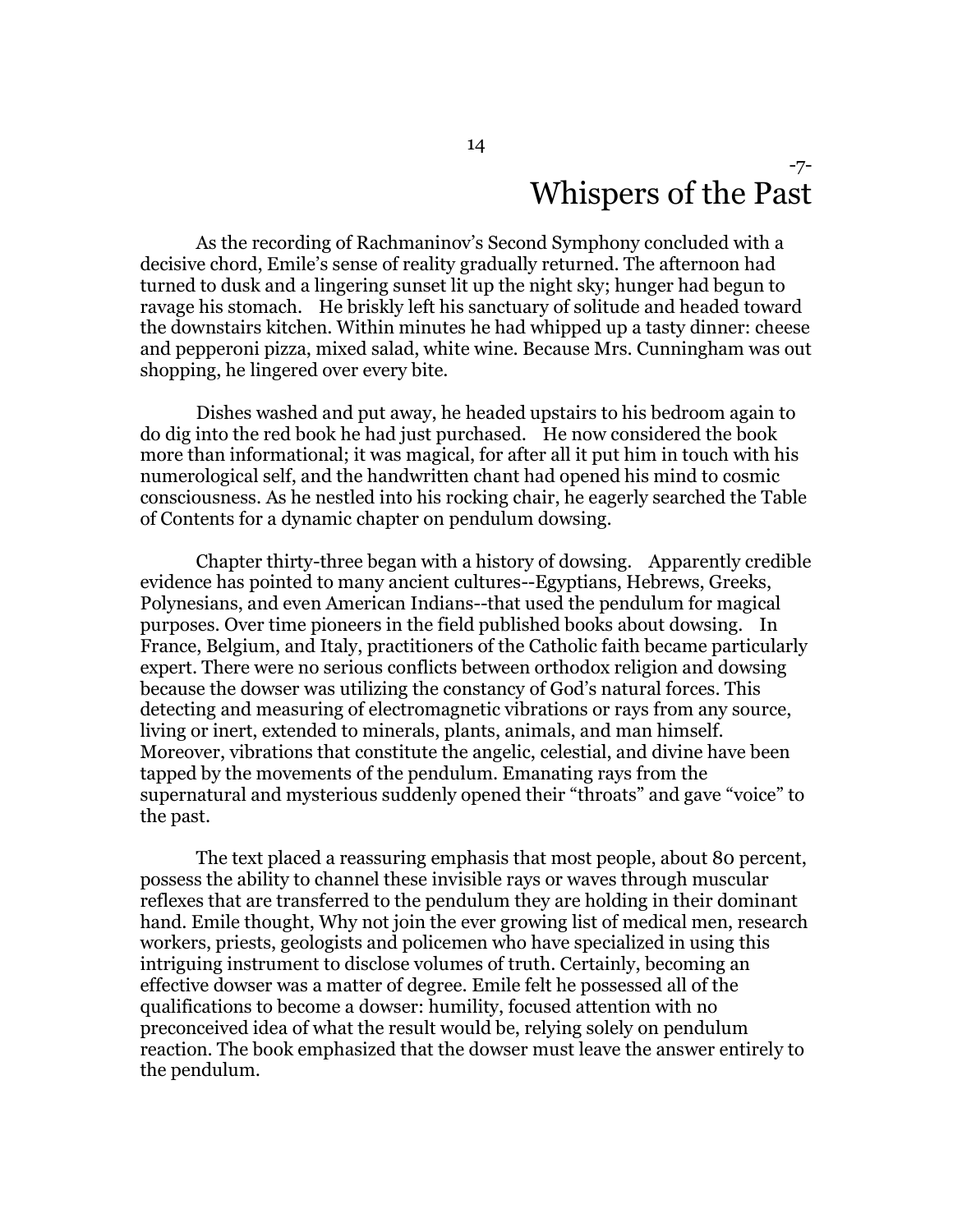#### -7- Whispers of the Past

As the recording of Rachmaninov's Second Symphony concluded with a decisive chord, Emile's sense of reality gradually returned. The afternoon had turned to dusk and a lingering sunset lit up the night sky; hunger had begun to ravage his stomach. He briskly left his sanctuary of solitude and headed toward the downstairs kitchen. Within minutes he had whipped up a tasty dinner: cheese and pepperoni pizza, mixed salad, white wine. Because Mrs. Cunningham was out shopping, he lingered over every bite.

Dishes washed and put away, he headed upstairs to his bedroom again to do dig into the red book he had just purchased. He now considered the book more than informational; it was magical, for after all it put him in touch with his numerological self, and the handwritten chant had opened his mind to cosmic consciousness. As he nestled into his rocking chair, he eagerly searched the Table of Contents for a dynamic chapter on pendulum dowsing.

Chapter thirty-three began with a history of dowsing. Apparently credible evidence has pointed to many ancient cultures--Egyptians, Hebrews, Greeks, Polynesians, and even American Indians--that used the pendulum for magical purposes. Over time pioneers in the field published books about dowsing. In France, Belgium, and Italy, practitioners of the Catholic faith became particularly expert. There were no serious conflicts between orthodox religion and dowsing because the dowser was utilizing the constancy of God's natural forces. This detecting and measuring of electromagnetic vibrations or rays from any source, living or inert, extended to minerals, plants, animals, and man himself. Moreover, vibrations that constitute the angelic, celestial, and divine have been tapped by the movements of the pendulum. Emanating rays from the supernatural and mysterious suddenly opened their "throats" and gave "voice" to the past.

The text placed a reassuring emphasis that most people, about 80 percent, possess the ability to channel these invisible rays or waves through muscular reflexes that are transferred to the pendulum they are holding in their dominant hand. Emile thought, Why not join the ever growing list of medical men, research workers, priests, geologists and policemen who have specialized in using this intriguing instrument to disclose volumes of truth. Certainly, becoming an effective dowser was a matter of degree. Emile felt he possessed all of the qualifications to become a dowser: humility, focused attention with no preconceived idea of what the result would be, relying solely on pendulum reaction. The book emphasized that the dowser must leave the answer entirely to the pendulum.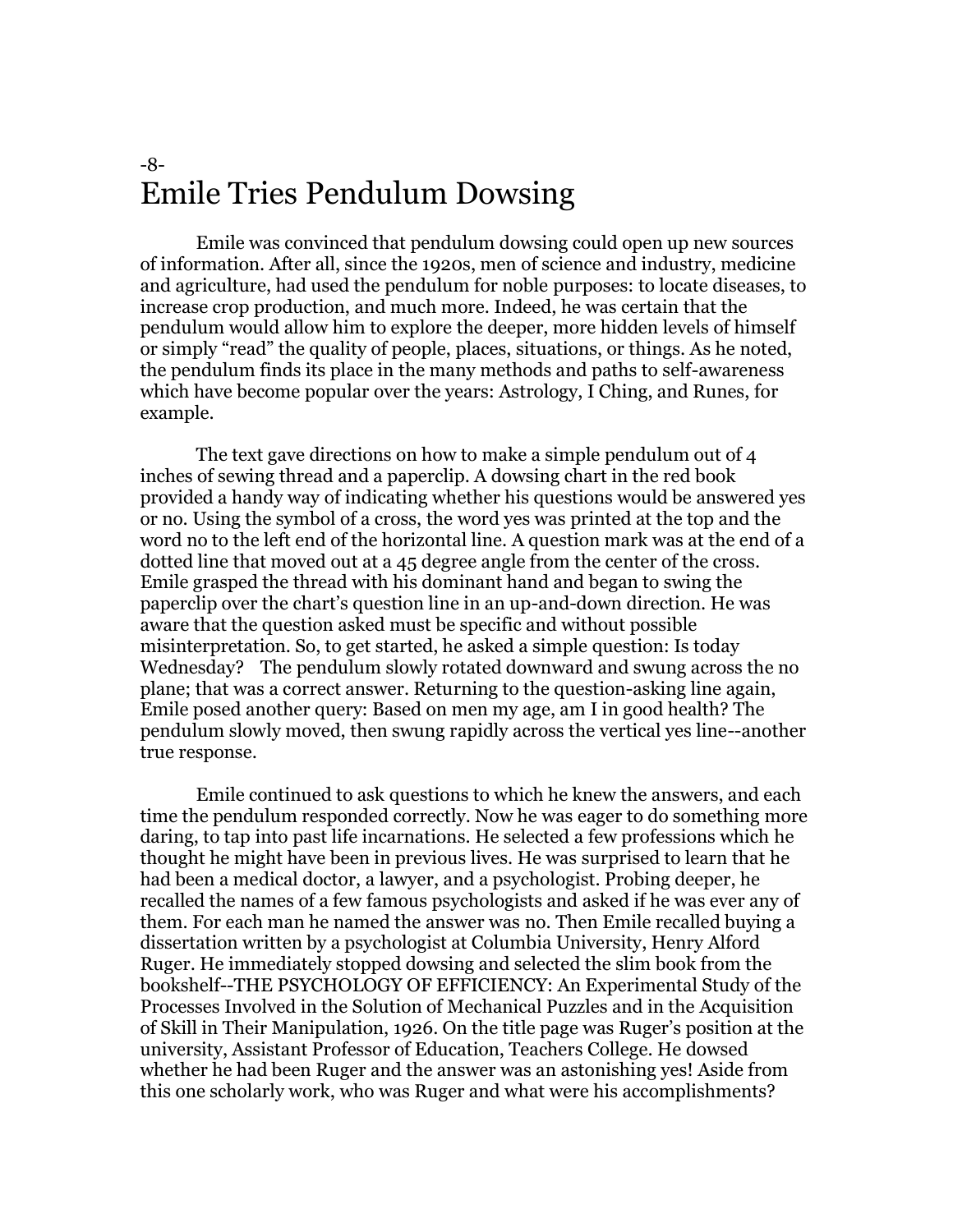#### -8- Emile Tries Pendulum Dowsing

Emile was convinced that pendulum dowsing could open up new sources of information. After all, since the 1920s, men of science and industry, medicine and agriculture, had used the pendulum for noble purposes: to locate diseases, to increase crop production, and much more. Indeed, he was certain that the pendulum would allow him to explore the deeper, more hidden levels of himself or simply "read" the quality of people, places, situations, or things. As he noted, the pendulum finds its place in the many methods and paths to self-awareness which have become popular over the years: Astrology, I Ching, and Runes, for example.

The text gave directions on how to make a simple pendulum out of 4 inches of sewing thread and a paperclip. A dowsing chart in the red book provided a handy way of indicating whether his questions would be answered yes or no. Using the symbol of a cross, the word yes was printed at the top and the word no to the left end of the horizontal line. A question mark was at the end of a dotted line that moved out at a 45 degree angle from the center of the cross. Emile grasped the thread with his dominant hand and began to swing the paperclip over the chart's question line in an up-and-down direction. He was aware that the question asked must be specific and without possible misinterpretation. So, to get started, he asked a simple question: Is today Wednesday? The pendulum slowly rotated downward and swung across the no plane; that was a correct answer. Returning to the question-asking line again, Emile posed another query: Based on men my age, am I in good health? The pendulum slowly moved, then swung rapidly across the vertical yes line--another true response.

Emile continued to ask questions to which he knew the answers, and each time the pendulum responded correctly. Now he was eager to do something more daring, to tap into past life incarnations. He selected a few professions which he thought he might have been in previous lives. He was surprised to learn that he had been a medical doctor, a lawyer, and a psychologist. Probing deeper, he recalled the names of a few famous psychologists and asked if he was ever any of them. For each man he named the answer was no. Then Emile recalled buying a dissertation written by a psychologist at Columbia University, Henry Alford Ruger. He immediately stopped dowsing and selected the slim book from the bookshelf--THE PSYCHOLOGY OF EFFICIENCY: An Experimental Study of the Processes Involved in the Solution of Mechanical Puzzles and in the Acquisition of Skill in Their Manipulation, 1926. On the title page was Ruger's position at the university, Assistant Professor of Education, Teachers College. He dowsed whether he had been Ruger and the answer was an astonishing yes! Aside from this one scholarly work, who was Ruger and what were his accomplishments?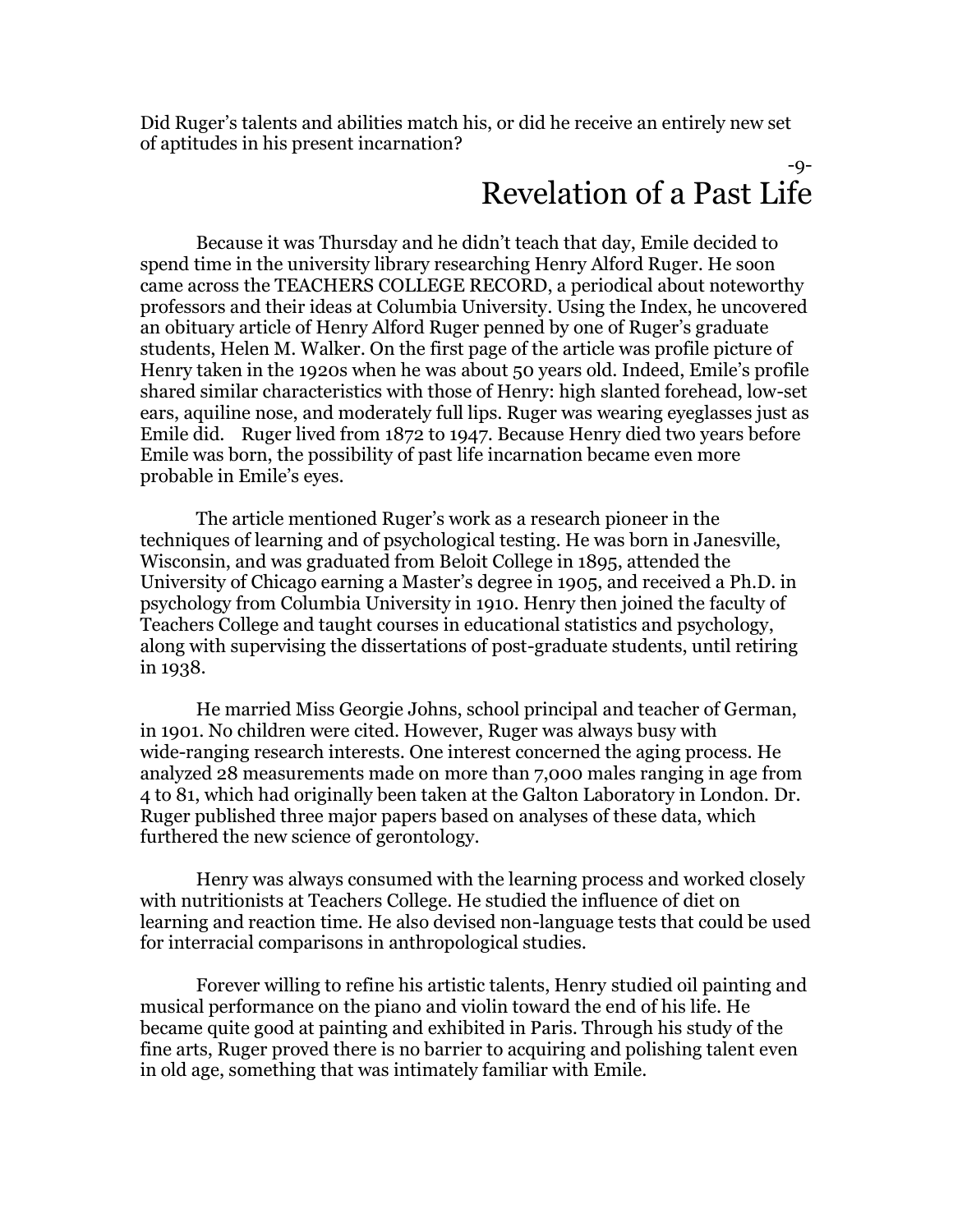Did Ruger's talents and abilities match his, or did he receive an entirely new set of aptitudes in his present incarnation?

#### -9- Revelation of a Past Life

Because it was Thursday and he didn't teach that day, Emile decided to spend time in the university library researching Henry Alford Ruger. He soon came across the TEACHERS COLLEGE RECORD, a periodical about noteworthy professors and their ideas at Columbia University. Using the Index, he uncovered an obituary article of Henry Alford Ruger penned by one of Ruger's graduate students, Helen M. Walker. On the first page of the article was profile picture of Henry taken in the 1920s when he was about 50 years old. Indeed, Emile's profile shared similar characteristics with those of Henry: high slanted forehead, low-set ears, aquiline nose, and moderately full lips. Ruger was wearing eyeglasses just as Emile did. Ruger lived from 1872 to 1947. Because Henry died two years before Emile was born, the possibility of past life incarnation became even more probable in Emile's eyes.

The article mentioned Ruger's work as a research pioneer in the techniques of learning and of psychological testing. He was born in Janesville, Wisconsin, and was graduated from Beloit College in 1895, attended the University of Chicago earning a Master's degree in 1905, and received a Ph.D. in psychology from Columbia University in 1910. Henry then joined the faculty of Teachers College and taught courses in educational statistics and psychology, along with supervising the dissertations of post-graduate students, until retiring in 1938.

He married Miss Georgie Johns, school principal and teacher of German, in 1901. No children were cited. However, Ruger was always busy with wide-ranging research interests. One interest concerned the aging process. He analyzed 28 measurements made on more than 7,000 males ranging in age from 4 to 81, which had originally been taken at the Galton Laboratory in London. Dr. Ruger published three major papers based on analyses of these data, which furthered the new science of gerontology.

Henry was always consumed with the learning process and worked closely with nutritionists at Teachers College. He studied the influence of diet on learning and reaction time. He also devised non-language tests that could be used for interracial comparisons in anthropological studies.

Forever willing to refine his artistic talents, Henry studied oil painting and musical performance on the piano and violin toward the end of his life. He became quite good at painting and exhibited in Paris. Through his study of the fine arts, Ruger proved there is no barrier to acquiring and polishing talent even in old age, something that was intimately familiar with Emile.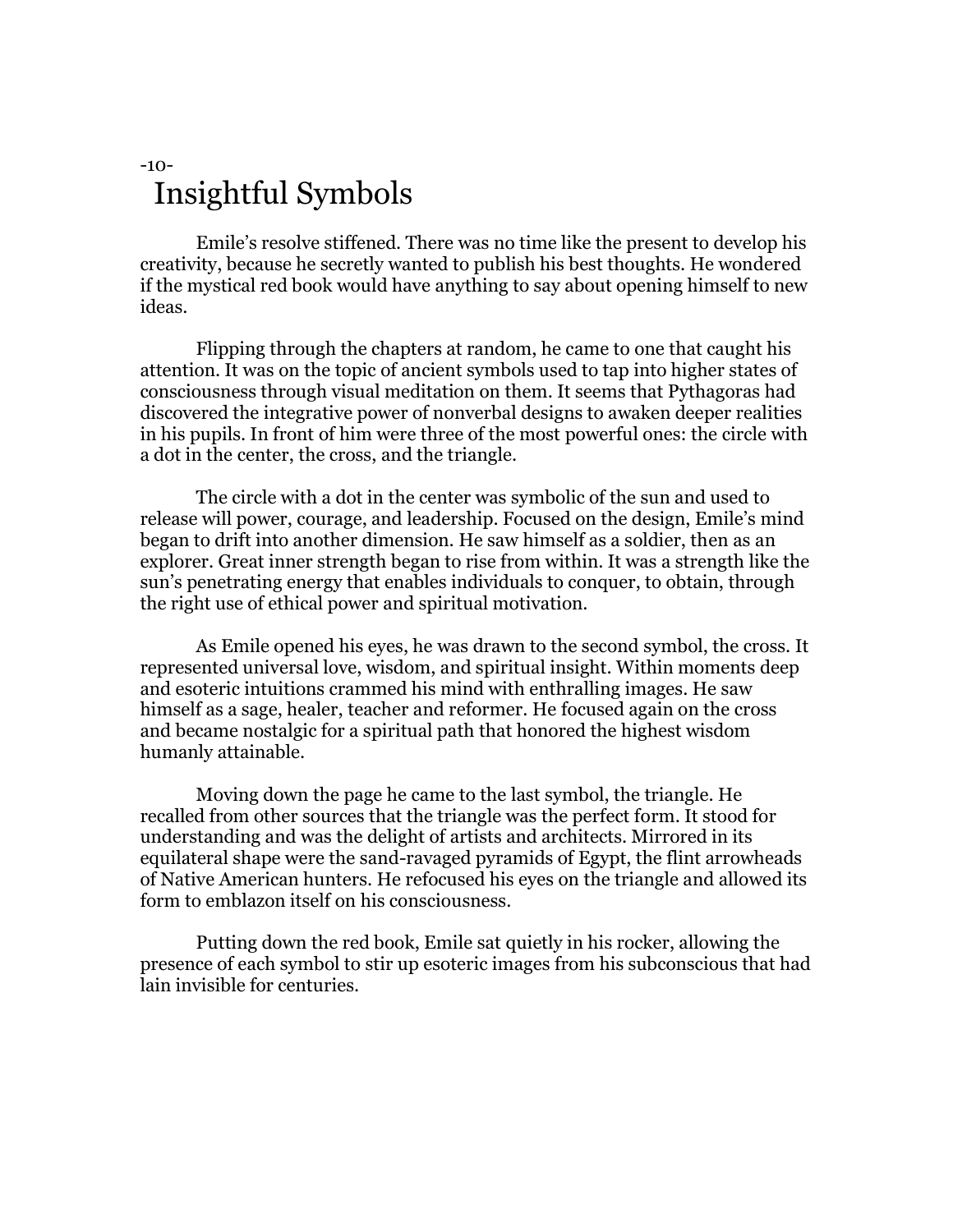#### -10- Insightful Symbols

Emile's resolve stiffened. There was no time like the present to develop his creativity, because he secretly wanted to publish his best thoughts. He wondered if the mystical red book would have anything to say about opening himself to new ideas.

Flipping through the chapters at random, he came to one that caught his attention. It was on the topic of ancient symbols used to tap into higher states of consciousness through visual meditation on them. It seems that Pythagoras had discovered the integrative power of nonverbal designs to awaken deeper realities in his pupils. In front of him were three of the most powerful ones: the circle with a dot in the center, the cross, and the triangle.

The circle with a dot in the center was symbolic of the sun and used to release will power, courage, and leadership. Focused on the design, Emile's mind began to drift into another dimension. He saw himself as a soldier, then as an explorer. Great inner strength began to rise from within. It was a strength like the sun's penetrating energy that enables individuals to conquer, to obtain, through the right use of ethical power and spiritual motivation.

As Emile opened his eyes, he was drawn to the second symbol, the cross. It represented universal love, wisdom, and spiritual insight. Within moments deep and esoteric intuitions crammed his mind with enthralling images. He saw himself as a sage, healer, teacher and reformer. He focused again on the cross and became nostalgic for a spiritual path that honored the highest wisdom humanly attainable.

Moving down the page he came to the last symbol, the triangle. He recalled from other sources that the triangle was the perfect form. It stood for understanding and was the delight of artists and architects. Mirrored in its equilateral shape were the sand-ravaged pyramids of Egypt, the flint arrowheads of Native American hunters. He refocused his eyes on the triangle and allowed its form to emblazon itself on his consciousness.

Putting down the red book, Emile sat quietly in his rocker, allowing the presence of each symbol to stir up esoteric images from his subconscious that had lain invisible for centuries.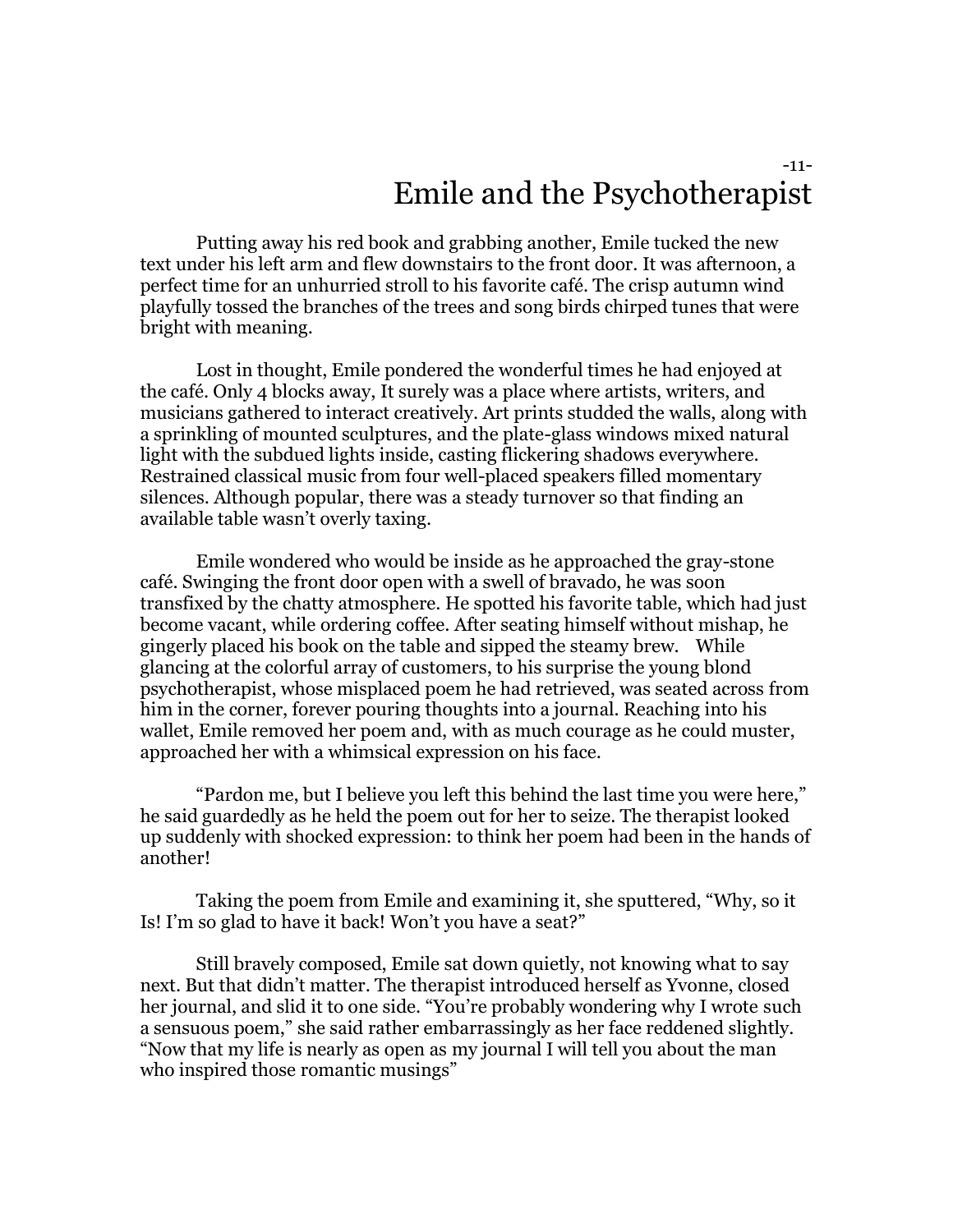#### -11- Emile and the Psychotherapist

Putting away his red book and grabbing another, Emile tucked the new text under his left arm and flew downstairs to the front door. It was afternoon, a perfect time for an unhurried stroll to his favorite café. The crisp autumn wind playfully tossed the branches of the trees and song birds chirped tunes that were bright with meaning.

Lost in thought, Emile pondered the wonderful times he had enjoyed at the café. Only 4 blocks away, It surely was a place where artists, writers, and musicians gathered to interact creatively. Art prints studded the walls, along with a sprinkling of mounted sculptures, and the plate-glass windows mixed natural light with the subdued lights inside, casting flickering shadows everywhere. Restrained classical music from four well-placed speakers filled momentary silences. Although popular, there was a steady turnover so that finding an available table wasn't overly taxing.

Emile wondered who would be inside as he approached the gray-stone café. Swinging the front door open with a swell of bravado, he was soon transfixed by the chatty atmosphere. He spotted his favorite table, which had just become vacant, while ordering coffee. After seating himself without mishap, he gingerly placed his book on the table and sipped the steamy brew. While glancing at the colorful array of customers, to his surprise the young blond psychotherapist, whose misplaced poem he had retrieved, was seated across from him in the corner, forever pouring thoughts into a journal. Reaching into his wallet, Emile removed her poem and, with as much courage as he could muster, approached her with a whimsical expression on his face.

"Pardon me, but I believe you left this behind the last time you were here," he said guardedly as he held the poem out for her to seize. The therapist looked up suddenly with shocked expression: to think her poem had been in the hands of another!

Taking the poem from Emile and examining it, she sputtered, "Why, so it Is! I'm so glad to have it back! Won't you have a seat?"

Still bravely composed, Emile sat down quietly, not knowing what to say next. But that didn't matter. The therapist introduced herself as Yvonne, closed her journal, and slid it to one side. "You're probably wondering why I wrote such a sensuous poem," she said rather embarrassingly as her face reddened slightly. "Now that my life is nearly as open as my journal I will tell you about the man who inspired those romantic musings"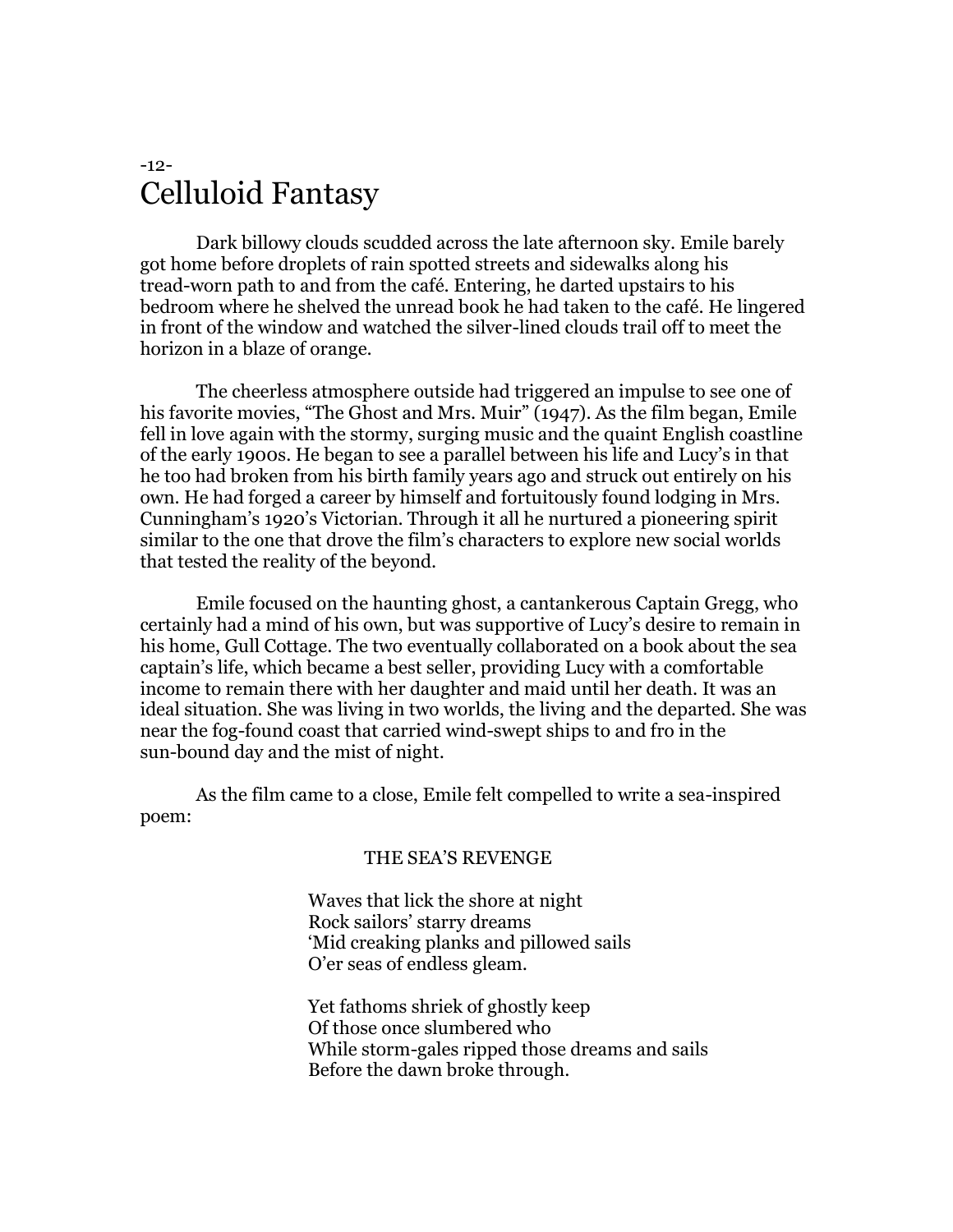#### -12- Celluloid Fantasy

Dark billowy clouds scudded across the late afternoon sky. Emile barely got home before droplets of rain spotted streets and sidewalks along his tread-worn path to and from the café. Entering, he darted upstairs to his bedroom where he shelved the unread book he had taken to the café. He lingered in front of the window and watched the silver-lined clouds trail off to meet the horizon in a blaze of orange.

The cheerless atmosphere outside had triggered an impulse to see one of his favorite movies, "The Ghost and Mrs. Muir" (1947). As the film began, Emile fell in love again with the stormy, surging music and the quaint English coastline of the early 1900s. He began to see a parallel between his life and Lucy's in that he too had broken from his birth family years ago and struck out entirely on his own. He had forged a career by himself and fortuitously found lodging in Mrs. Cunningham's 1920's Victorian. Through it all he nurtured a pioneering spirit similar to the one that drove the film's characters to explore new social worlds that tested the reality of the beyond.

Emile focused on the haunting ghost, a cantankerous Captain Gregg, who certainly had a mind of his own, but was supportive of Lucy's desire to remain in his home, Gull Cottage. The two eventually collaborated on a book about the sea captain's life, which became a best seller, providing Lucy with a comfortable income to remain there with her daughter and maid until her death. It was an ideal situation. She was living in two worlds, the living and the departed. She was near the fog-found coast that carried wind-swept ships to and fro in the sun-bound day and the mist of night.

As the film came to a close, Emile felt compelled to write a sea-inspired poem:

#### THE SEA'S REVENGE

Waves that lick the shore at night Rock sailors' starry dreams 'Mid creaking planks and pillowed sails O'er seas of endless gleam.

Yet fathoms shriek of ghostly keep Of those once slumbered who While storm-gales ripped those dreams and sails Before the dawn broke through.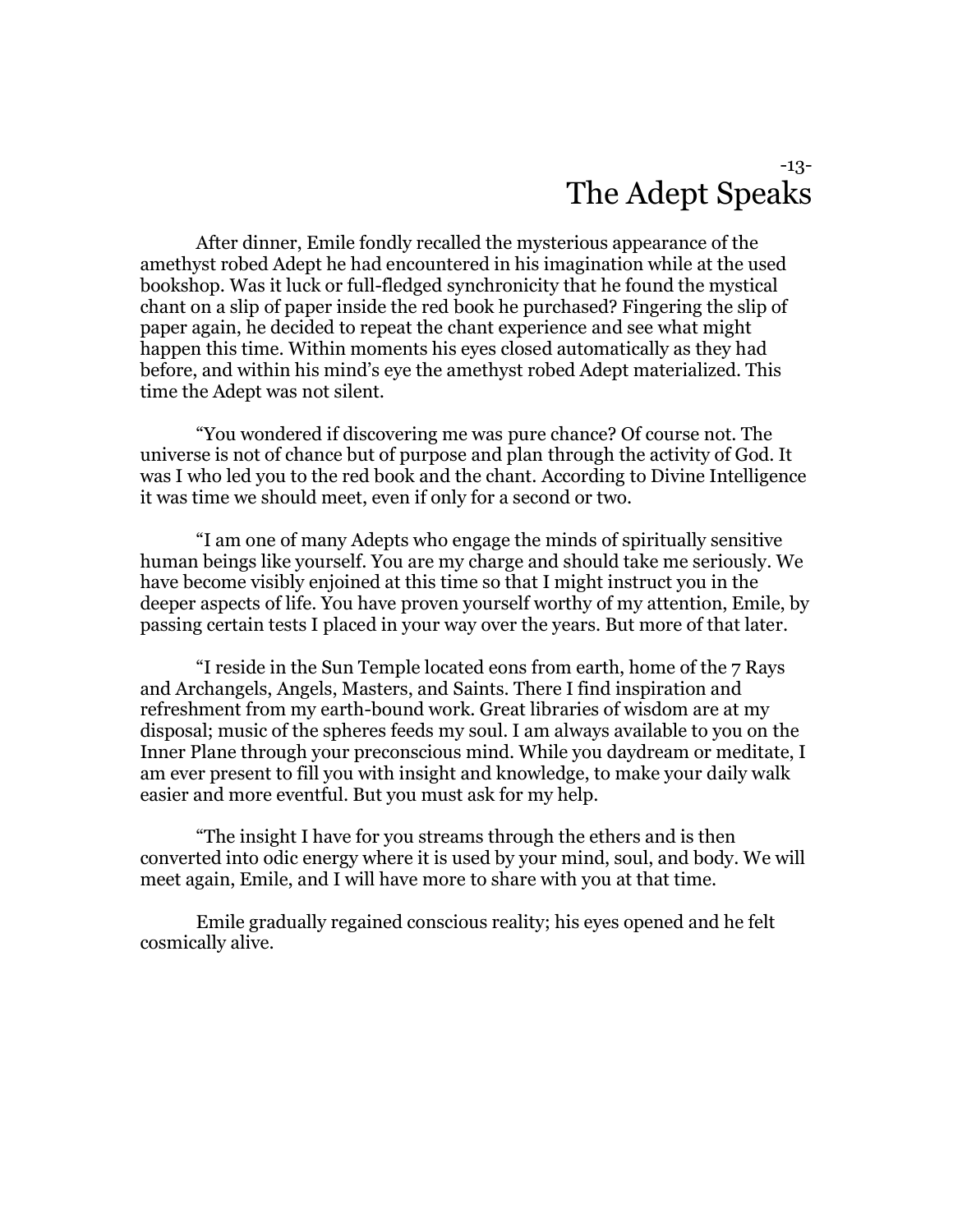#### -13- The Adept Speaks

After dinner, Emile fondly recalled the mysterious appearance of the amethyst robed Adept he had encountered in his imagination while at the used bookshop. Was it luck or full-fledged synchronicity that he found the mystical chant on a slip of paper inside the red book he purchased? Fingering the slip of paper again, he decided to repeat the chant experience and see what might happen this time. Within moments his eyes closed automatically as they had before, and within his mind's eye the amethyst robed Adept materialized. This time the Adept was not silent.

"You wondered if discovering me was pure chance? Of course not. The universe is not of chance but of purpose and plan through the activity of God. It was I who led you to the red book and the chant. According to Divine Intelligence it was time we should meet, even if only for a second or two.

"I am one of many Adepts who engage the minds of spiritually sensitive human beings like yourself. You are my charge and should take me seriously. We have become visibly enjoined at this time so that I might instruct you in the deeper aspects of life. You have proven yourself worthy of my attention, Emile, by passing certain tests I placed in your way over the years. But more of that later.

"I reside in the Sun Temple located eons from earth, home of the 7 Rays and Archangels, Angels, Masters, and Saints. There I find inspiration and refreshment from my earth-bound work. Great libraries of wisdom are at my disposal; music of the spheres feeds my soul. I am always available to you on the Inner Plane through your preconscious mind. While you daydream or meditate, I am ever present to fill you with insight and knowledge, to make your daily walk easier and more eventful. But you must ask for my help.

"The insight I have for you streams through the ethers and is then converted into odic energy where it is used by your mind, soul, and body. We will meet again, Emile, and I will have more to share with you at that time.

Emile gradually regained conscious reality; his eyes opened and he felt cosmically alive.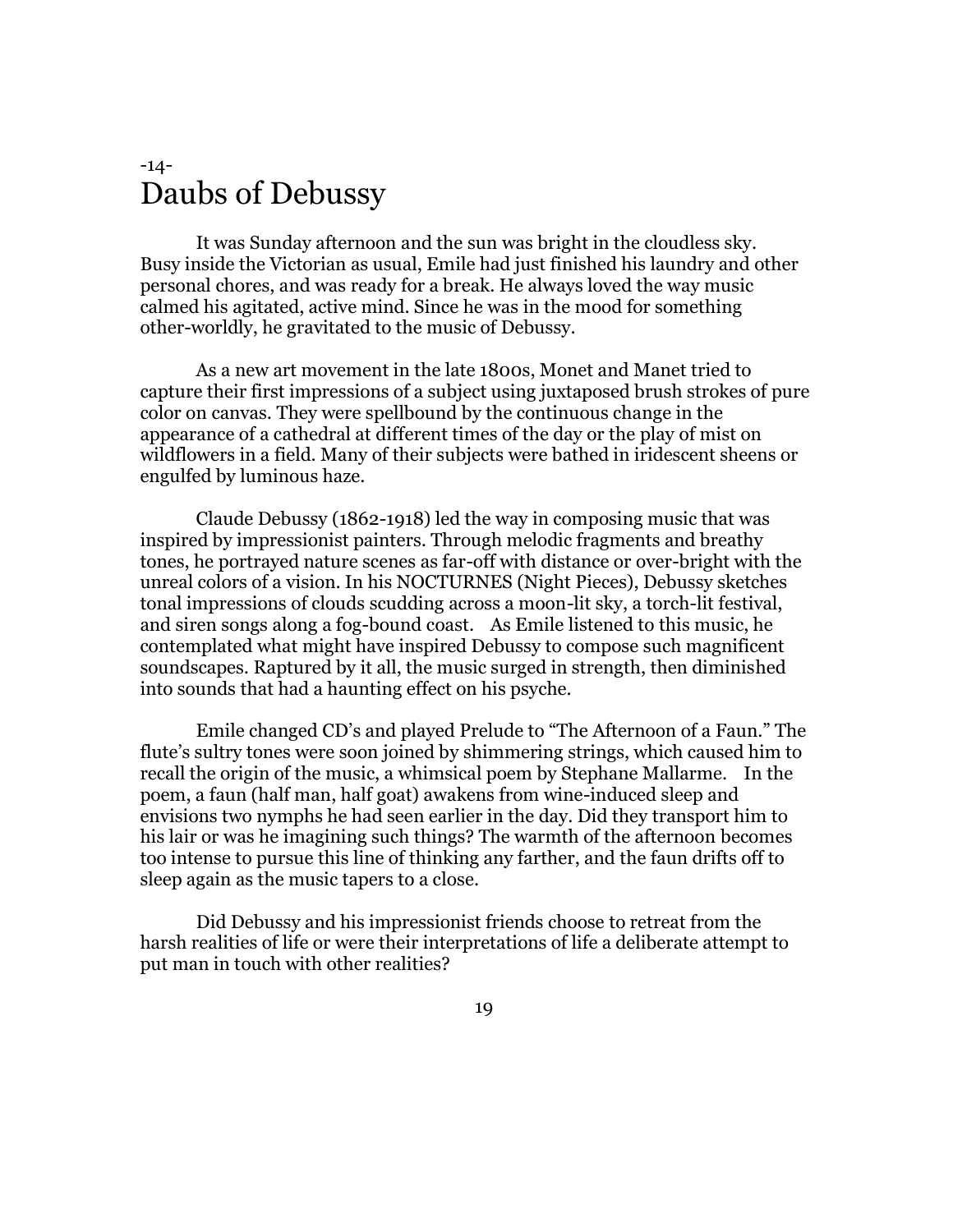#### -14- Daubs of Debussy

It was Sunday afternoon and the sun was bright in the cloudless sky. Busy inside the Victorian as usual, Emile had just finished his laundry and other personal chores, and was ready for a break. He always loved the way music calmed his agitated, active mind. Since he was in the mood for something other-worldly, he gravitated to the music of Debussy.

As a new art movement in the late 1800s, Monet and Manet tried to capture their first impressions of a subject using juxtaposed brush strokes of pure color on canvas. They were spellbound by the continuous change in the appearance of a cathedral at different times of the day or the play of mist on wildflowers in a field. Many of their subjects were bathed in iridescent sheens or engulfed by luminous haze.

Claude Debussy (1862-1918) led the way in composing music that was inspired by impressionist painters. Through melodic fragments and breathy tones, he portrayed nature scenes as far-off with distance or over-bright with the unreal colors of a vision. In his NOCTURNES (Night Pieces), Debussy sketches tonal impressions of clouds scudding across a moon-lit sky, a torch-lit festival, and siren songs along a fog-bound coast. As Emile listened to this music, he contemplated what might have inspired Debussy to compose such magnificent soundscapes. Raptured by it all, the music surged in strength, then diminished into sounds that had a haunting effect on his psyche.

Emile changed CD's and played Prelude to "The Afternoon of a Faun." The flute's sultry tones were soon joined by shimmering strings, which caused him to recall the origin of the music, a whimsical poem by Stephane Mallarme. In the poem, a faun (half man, half goat) awakens from wine-induced sleep and envisions two nymphs he had seen earlier in the day. Did they transport him to his lair or was he imagining such things? The warmth of the afternoon becomes too intense to pursue this line of thinking any farther, and the faun drifts off to sleep again as the music tapers to a close.

Did Debussy and his impressionist friends choose to retreat from the harsh realities of life or were their interpretations of life a deliberate attempt to put man in touch with other realities?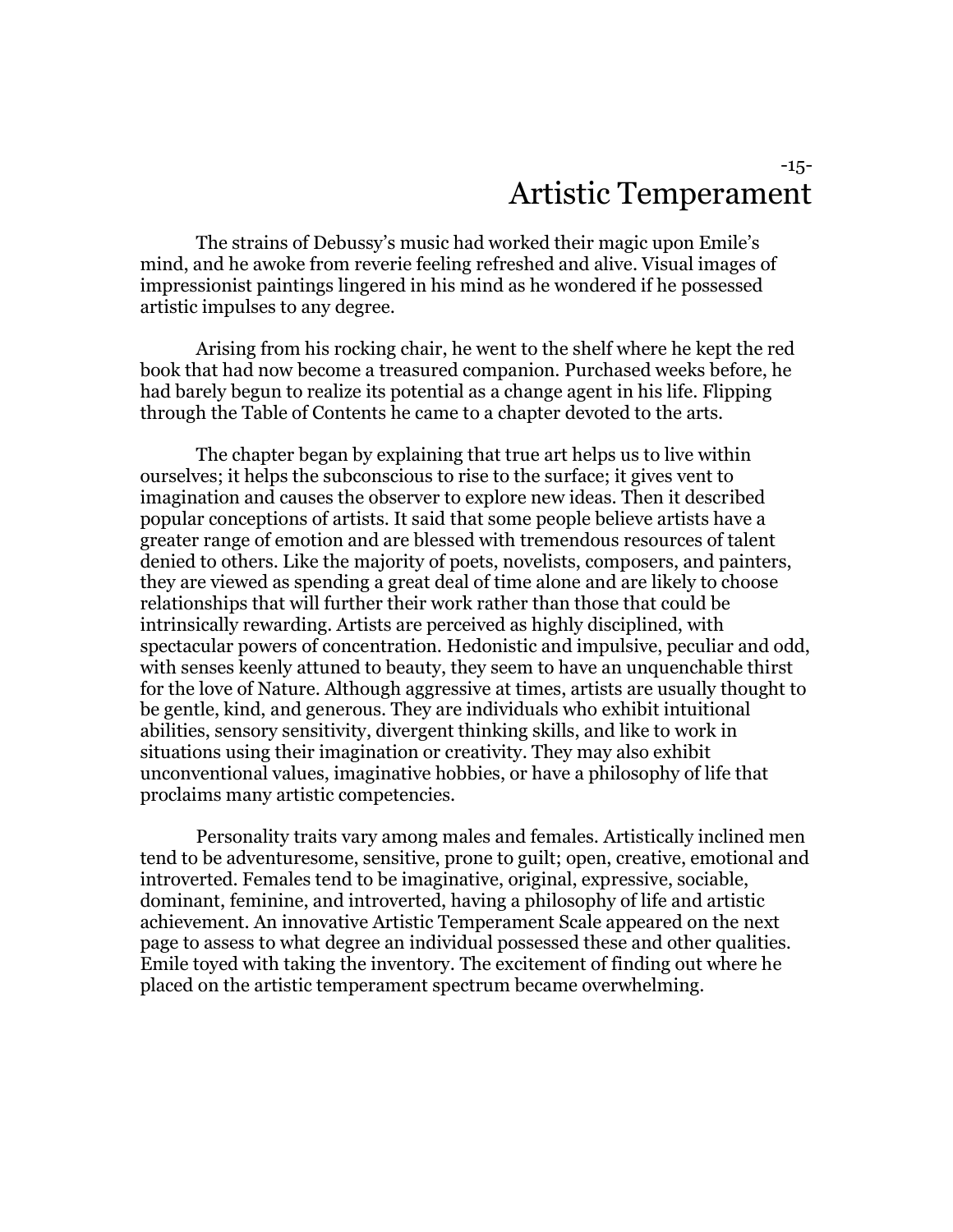#### -15- Artistic Temperament

The strains of Debussy's music had worked their magic upon Emile's mind, and he awoke from reverie feeling refreshed and alive. Visual images of impressionist paintings lingered in his mind as he wondered if he possessed artistic impulses to any degree.

Arising from his rocking chair, he went to the shelf where he kept the red book that had now become a treasured companion. Purchased weeks before, he had barely begun to realize its potential as a change agent in his life. Flipping through the Table of Contents he came to a chapter devoted to the arts.

The chapter began by explaining that true art helps us to live within ourselves; it helps the subconscious to rise to the surface; it gives vent to imagination and causes the observer to explore new ideas. Then it described popular conceptions of artists. It said that some people believe artists have a greater range of emotion and are blessed with tremendous resources of talent denied to others. Like the majority of poets, novelists, composers, and painters, they are viewed as spending a great deal of time alone and are likely to choose relationships that will further their work rather than those that could be intrinsically rewarding. Artists are perceived as highly disciplined, with spectacular powers of concentration. Hedonistic and impulsive, peculiar and odd, with senses keenly attuned to beauty, they seem to have an unquenchable thirst for the love of Nature. Although aggressive at times, artists are usually thought to be gentle, kind, and generous. They are individuals who exhibit intuitional abilities, sensory sensitivity, divergent thinking skills, and like to work in situations using their imagination or creativity. They may also exhibit unconventional values, imaginative hobbies, or have a philosophy of life that proclaims many artistic competencies.

Personality traits vary among males and females. Artistically inclined men tend to be adventuresome, sensitive, prone to guilt; open, creative, emotional and introverted. Females tend to be imaginative, original, expressive, sociable, dominant, feminine, and introverted, having a philosophy of life and artistic achievement. An innovative Artistic Temperament Scale appeared on the next page to assess to what degree an individual possessed these and other qualities. Emile toyed with taking the inventory. The excitement of finding out where he placed on the artistic temperament spectrum became overwhelming.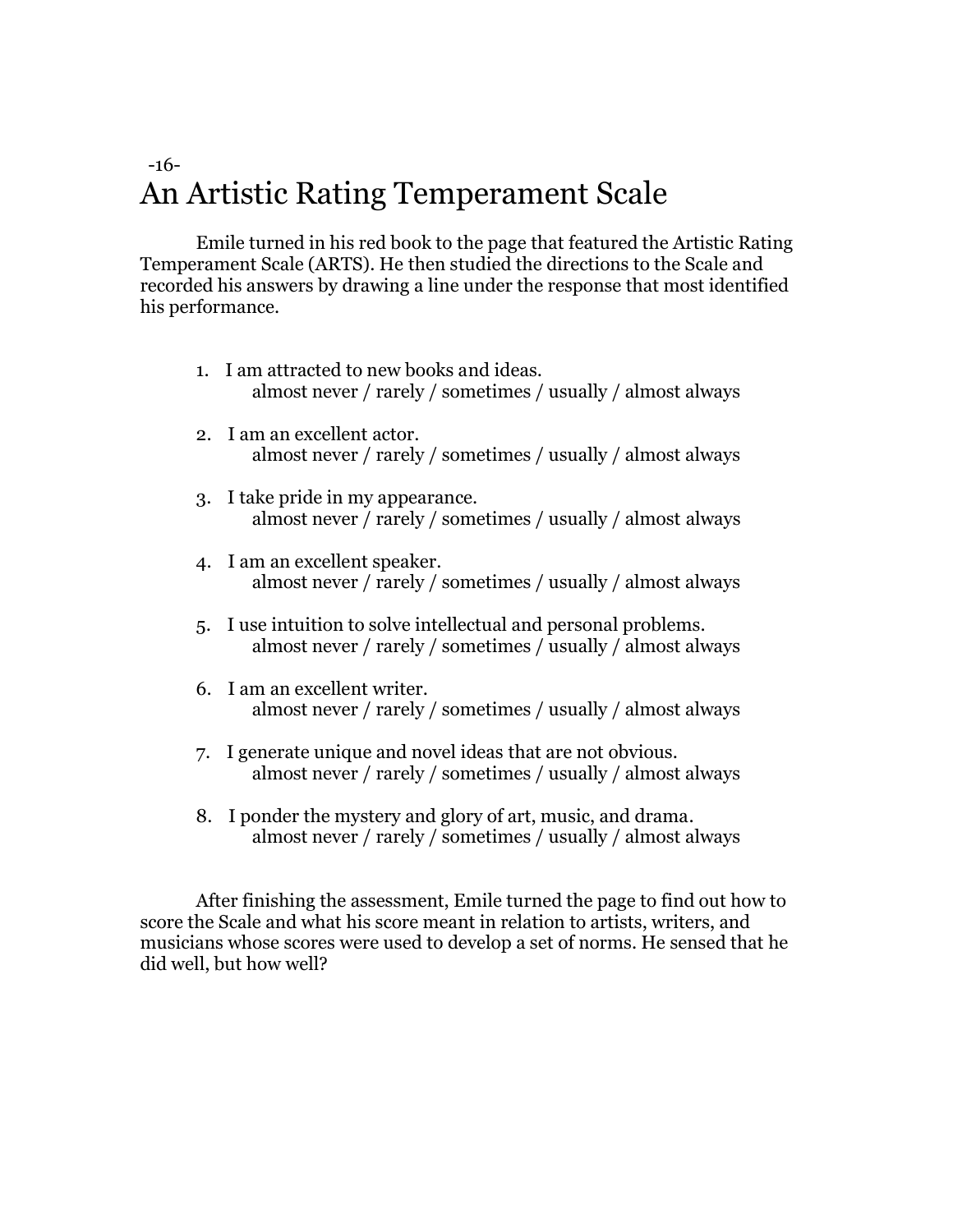### -16- An Artistic Rating Temperament Scale

Emile turned in his red book to the page that featured the Artistic Rating Temperament Scale (ARTS). He then studied the directions to the Scale and recorded his answers by drawing a line under the response that most identified his performance.

- 1. I am attracted to new books and ideas. almost never / rarely / sometimes / usually / almost always
- 2. I am an excellent actor. almost never / rarely / sometimes / usually / almost always
- 3. I take pride in my appearance. almost never / rarely / sometimes / usually / almost always
- 4. I am an excellent speaker. almost never / rarely / sometimes / usually / almost always
- 5. I use intuition to solve intellectual and personal problems. almost never / rarely / sometimes / usually / almost always
- 6. I am an excellent writer. almost never / rarely / sometimes / usually / almost always
- 7. I generate unique and novel ideas that are not obvious. almost never / rarely / sometimes / usually / almost always
- 8. I ponder the mystery and glory of art, music, and drama. almost never / rarely / sometimes / usually / almost always

After finishing the assessment, Emile turned the page to find out how to score the Scale and what his score meant in relation to artists, writers, and musicians whose scores were used to develop a set of norms. He sensed that he did well, but how well?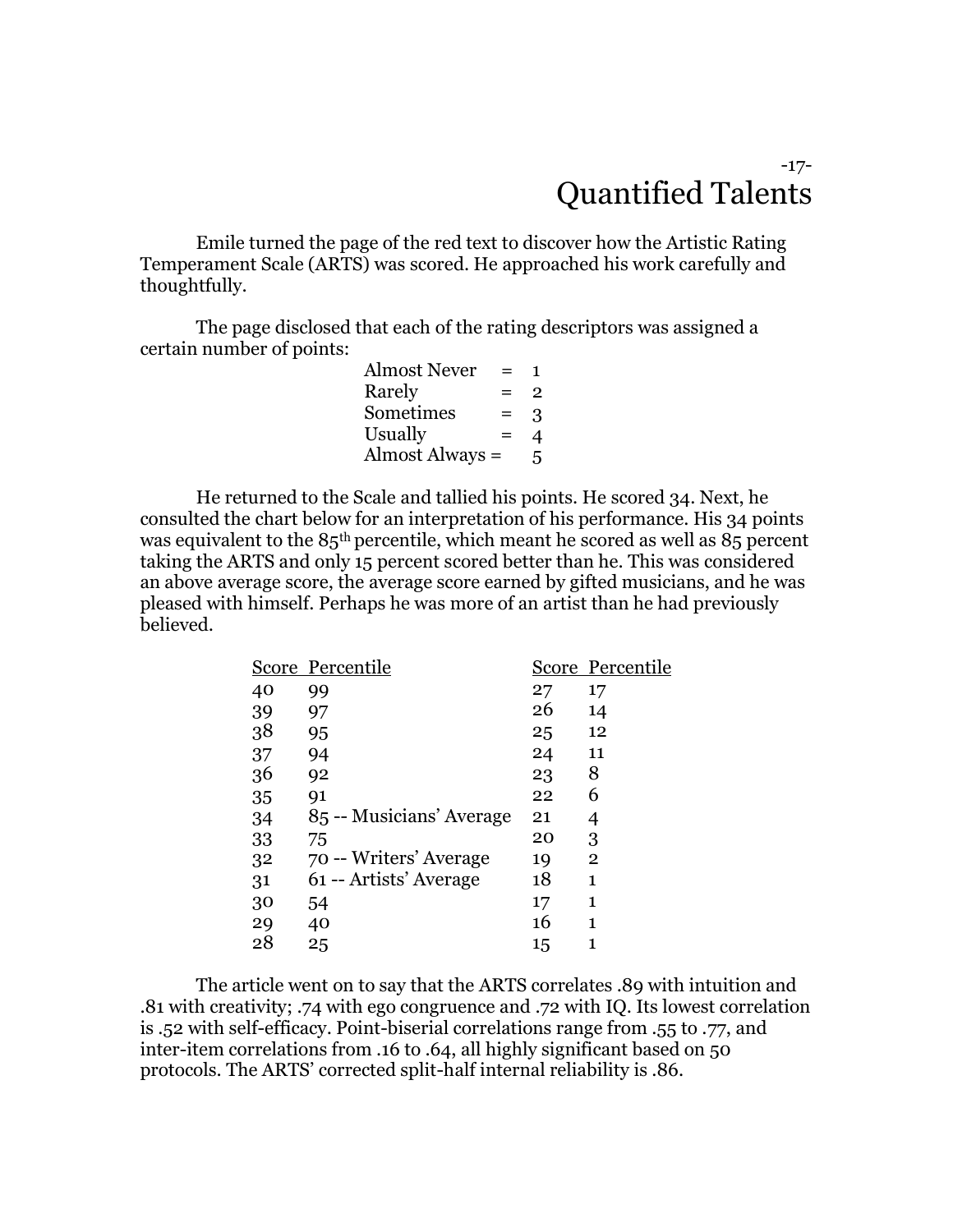#### -17- Quantified Talents

Emile turned the page of the red text to discover how the Artistic Rating Temperament Scale (ARTS) was scored. He approached his work carefully and thoughtfully.

The page disclosed that each of the rating descriptors was assigned a certain number of points:

| Almost Never    | $=$ | Т. |
|-----------------|-----|----|
| Rarely          | $=$ | 2  |
| Sometimes       | $=$ | 3  |
| Usually         | $=$ | 4  |
| Almost Always = |     | 5. |

He returned to the Scale and tallied his points. He scored 34. Next, he consulted the chart below for an interpretation of his performance. His 34 points was equivalent to the 85th percentile, which meant he scored as well as 85 percent taking the ARTS and only 15 percent scored better than he. This was considered an above average score, the average score earned by gifted musicians, and he was pleased with himself. Perhaps he was more of an artist than he had previously believed.

|    | Score Percentile         |    | Score Percentile |
|----|--------------------------|----|------------------|
| 40 | 99                       | 27 | 17               |
| 39 | 97                       | 26 | 14               |
| 38 | 95                       | 25 | 12               |
| 37 | 94                       | 24 | 11               |
| 36 | 92                       | 23 | 8                |
| 35 | 91                       | 22 | 6                |
| 34 | 85 -- Musicians' Average | 21 | 4                |
| 33 | 75                       | 20 | 3                |
| 32 | 70 -- Writers' Average   | 19 | $\bf{2}$         |
| 31 | 61 -- Artists' Average   | 18 | 1                |
| 30 | 54                       | 17 | 1                |
| 29 | 40                       | 16 | 1                |
| 28 | 25                       | 15 |                  |
|    |                          |    |                  |

The article went on to say that the ARTS correlates .89 with intuition and .81 with creativity; .74 with ego congruence and .72 with IQ. Its lowest correlation is .52 with self-efficacy. Point-biserial correlations range from .55 to .77, and inter-item correlations from .16 to .64, all highly significant based on 50 protocols. The ARTS' corrected split-half internal reliability is .86.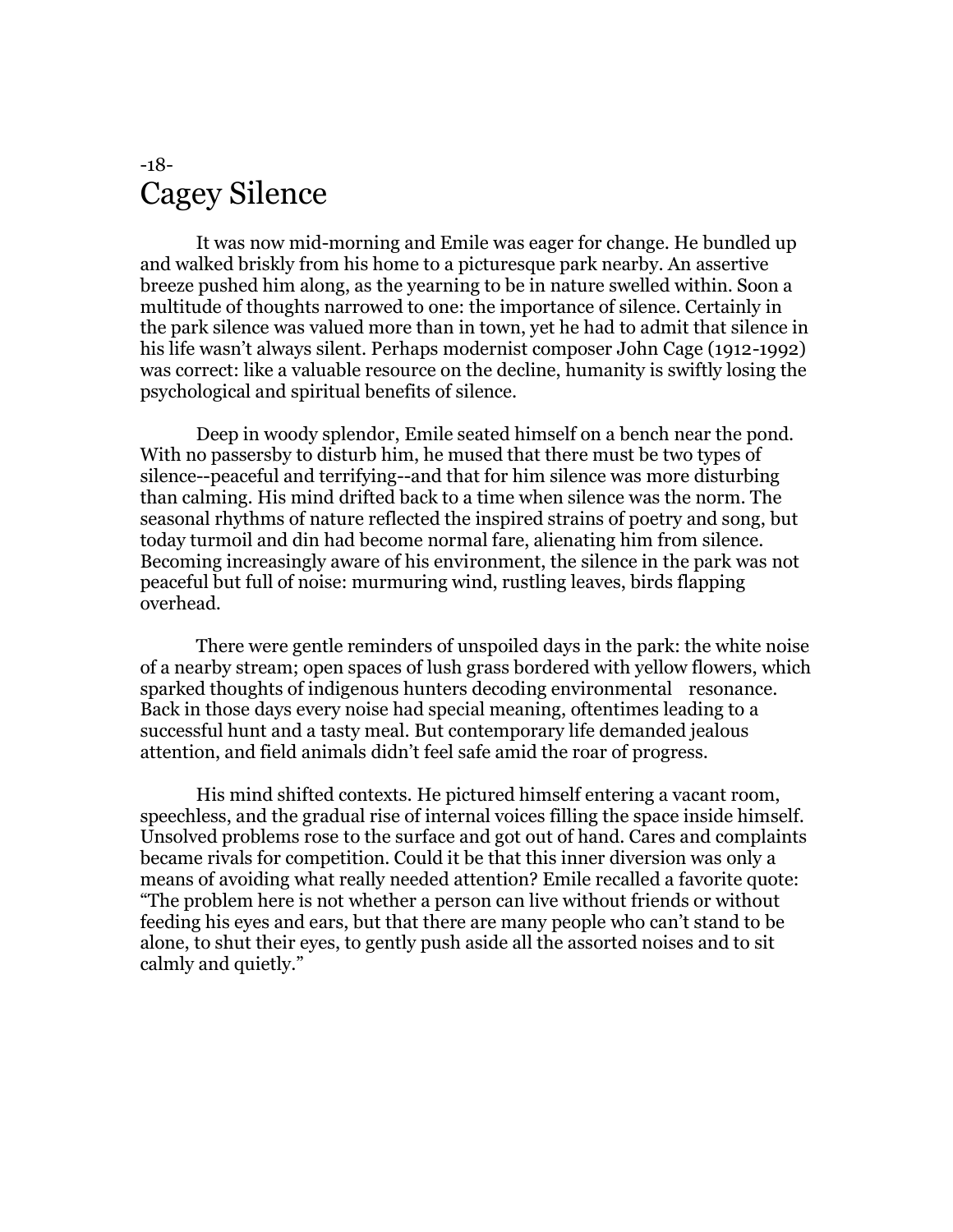#### -18- Cagey Silence

It was now mid-morning and Emile was eager for change. He bundled up and walked briskly from his home to a picturesque park nearby. An assertive breeze pushed him along, as the yearning to be in nature swelled within. Soon a multitude of thoughts narrowed to one: the importance of silence. Certainly in the park silence was valued more than in town, yet he had to admit that silence in his life wasn't always silent. Perhaps modernist composer John Cage (1912-1992) was correct: like a valuable resource on the decline, humanity is swiftly losing the psychological and spiritual benefits of silence.

Deep in woody splendor, Emile seated himself on a bench near the pond. With no passersby to disturb him, he mused that there must be two types of silence--peaceful and terrifying--and that for him silence was more disturbing than calming. His mind drifted back to a time when silence was the norm. The seasonal rhythms of nature reflected the inspired strains of poetry and song, but today turmoil and din had become normal fare, alienating him from silence. Becoming increasingly aware of his environment, the silence in the park was not peaceful but full of noise: murmuring wind, rustling leaves, birds flapping overhead.

There were gentle reminders of unspoiled days in the park: the white noise of a nearby stream; open spaces of lush grass bordered with yellow flowers, which sparked thoughts of indigenous hunters decoding environmental resonance. Back in those days every noise had special meaning, oftentimes leading to a successful hunt and a tasty meal. But contemporary life demanded jealous attention, and field animals didn't feel safe amid the roar of progress.

His mind shifted contexts. He pictured himself entering a vacant room, speechless, and the gradual rise of internal voices filling the space inside himself. Unsolved problems rose to the surface and got out of hand. Cares and complaints became rivals for competition. Could it be that this inner diversion was only a means of avoiding what really needed attention? Emile recalled a favorite quote: "The problem here is not whether a person can live without friends or without feeding his eyes and ears, but that there are many people who can't stand to be alone, to shut their eyes, to gently push aside all the assorted noises and to sit calmly and quietly."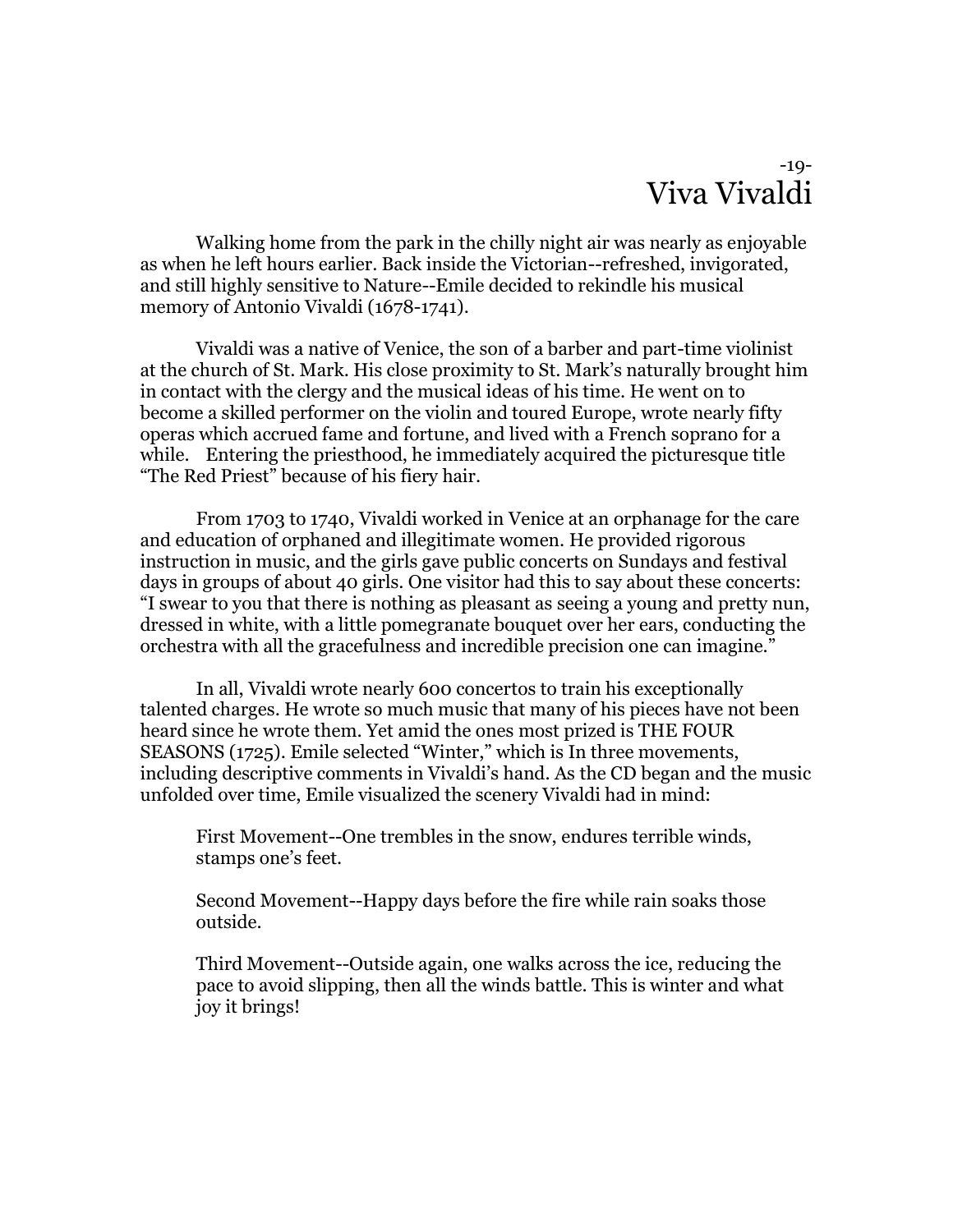#### -19- Viva Vivaldi

Walking home from the park in the chilly night air was nearly as enjoyable as when he left hours earlier. Back inside the Victorian--refreshed, invigorated, and still highly sensitive to Nature--Emile decided to rekindle his musical memory of Antonio Vivaldi (1678-1741).

Vivaldi was a native of Venice, the son of a barber and part-time violinist at the church of St. Mark. His close proximity to St. Mark's naturally brought him in contact with the clergy and the musical ideas of his time. He went on to become a skilled performer on the violin and toured Europe, wrote nearly fifty operas which accrued fame and fortune, and lived with a French soprano for a while. Entering the priesthood, he immediately acquired the picturesque title "The Red Priest" because of his fiery hair.

From 1703 to 1740, Vivaldi worked in Venice at an orphanage for the care and education of orphaned and illegitimate women. He provided rigorous instruction in music, and the girls gave public concerts on Sundays and festival days in groups of about 40 girls. One visitor had this to say about these concerts: "I swear to you that there is nothing as pleasant as seeing a young and pretty nun, dressed in white, with a little pomegranate bouquet over her ears, conducting the orchestra with all the gracefulness and incredible precision one can imagine."

In all, Vivaldi wrote nearly 600 concertos to train his exceptionally talented charges. He wrote so much music that many of his pieces have not been heard since he wrote them. Yet amid the ones most prized is THE FOUR SEASONS (1725). Emile selected "Winter," which is In three movements, including descriptive comments in Vivaldi's hand. As the CD began and the music unfolded over time, Emile visualized the scenery Vivaldi had in mind:

First Movement--One trembles in the snow, endures terrible winds, stamps one's feet.

Second Movement--Happy days before the fire while rain soaks those outside.

Third Movement--Outside again, one walks across the ice, reducing the pace to avoid slipping, then all the winds battle. This is winter and what joy it brings!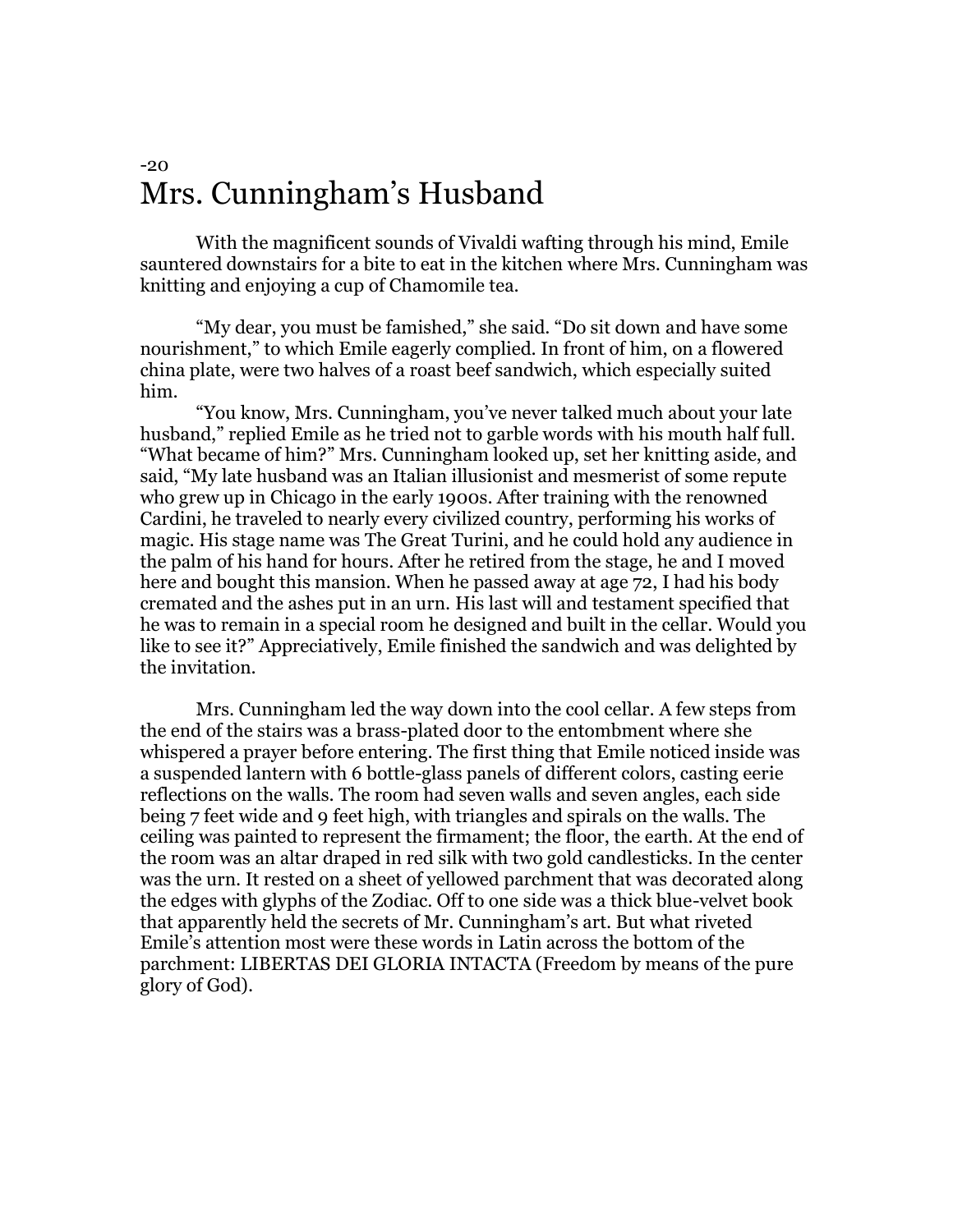#### $-20$ Mrs. Cunningham's Husband

With the magnificent sounds of Vivaldi wafting through his mind, Emile sauntered downstairs for a bite to eat in the kitchen where Mrs. Cunningham was knitting and enjoying a cup of Chamomile tea.

"My dear, you must be famished," she said. "Do sit down and have some nourishment," to which Emile eagerly complied. In front of him, on a flowered china plate, were two halves of a roast beef sandwich, which especially suited him.

"You know, Mrs. Cunningham, you've never talked much about your late husband," replied Emile as he tried not to garble words with his mouth half full. "What became of him?" Mrs. Cunningham looked up, set her knitting aside, and said, "My late husband was an Italian illusionist and mesmerist of some repute who grew up in Chicago in the early 1900s. After training with the renowned Cardini, he traveled to nearly every civilized country, performing his works of magic. His stage name was The Great Turini, and he could hold any audience in the palm of his hand for hours. After he retired from the stage, he and I moved here and bought this mansion. When he passed away at age 72, I had his body cremated and the ashes put in an urn. His last will and testament specified that he was to remain in a special room he designed and built in the cellar. Would you like to see it?" Appreciatively, Emile finished the sandwich and was delighted by the invitation.

Mrs. Cunningham led the way down into the cool cellar. A few steps from the end of the stairs was a brass-plated door to the entombment where she whispered a prayer before entering. The first thing that Emile noticed inside was a suspended lantern with 6 bottle-glass panels of different colors, casting eerie reflections on the walls. The room had seven walls and seven angles, each side being 7 feet wide and 9 feet high, with triangles and spirals on the walls. The ceiling was painted to represent the firmament; the floor, the earth. At the end of the room was an altar draped in red silk with two gold candlesticks. In the center was the urn. It rested on a sheet of yellowed parchment that was decorated along the edges with glyphs of the Zodiac. Off to one side was a thick blue-velvet book that apparently held the secrets of Mr. Cunningham's art. But what riveted Emile's attention most were these words in Latin across the bottom of the parchment: LIBERTAS DEI GLORIA INTACTA (Freedom by means of the pure glory of God).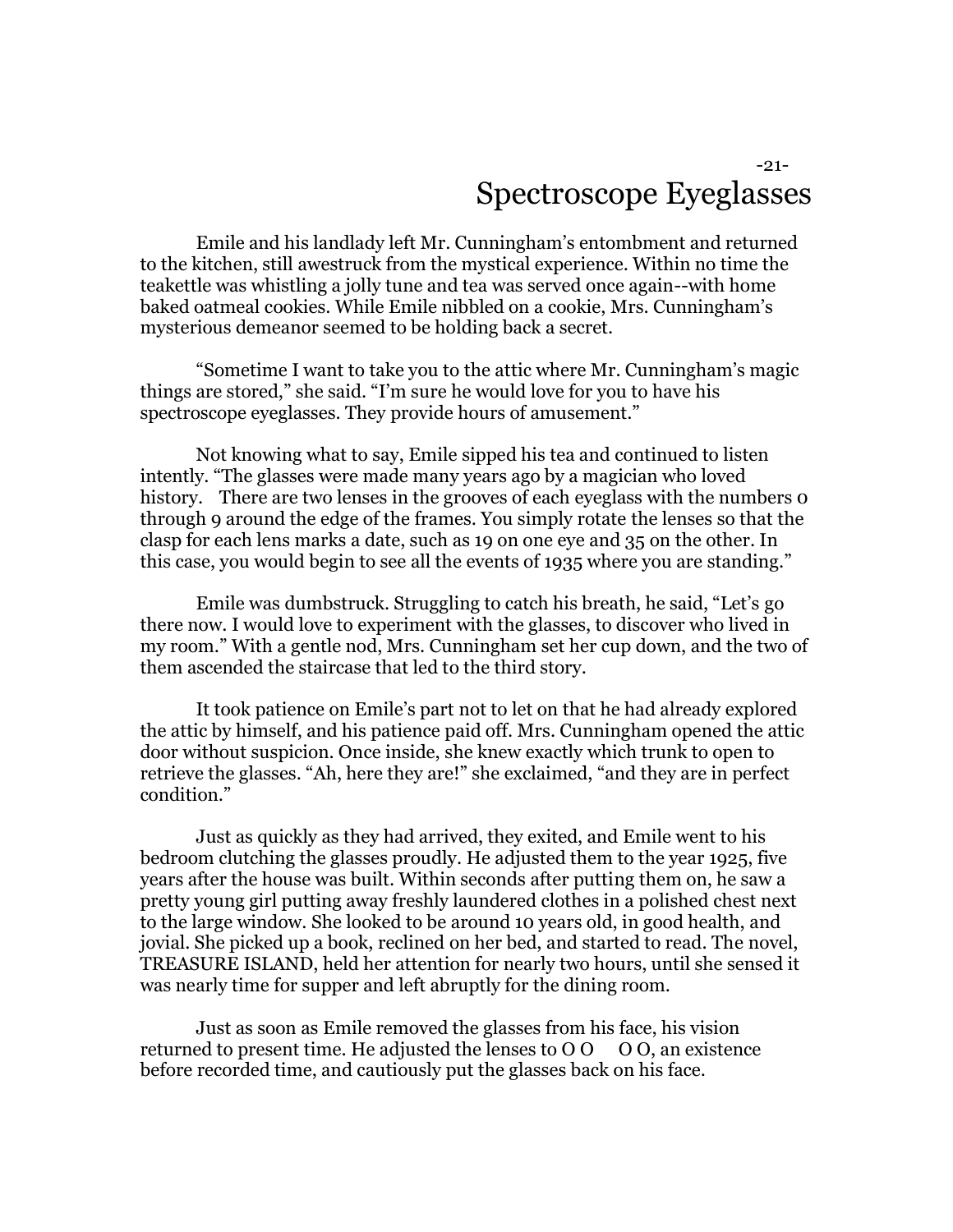#### -21- Spectroscope Eyeglasses

Emile and his landlady left Mr. Cunningham's entombment and returned to the kitchen, still awestruck from the mystical experience. Within no time the teakettle was whistling a jolly tune and tea was served once again--with home baked oatmeal cookies. While Emile nibbled on a cookie, Mrs. Cunningham's mysterious demeanor seemed to be holding back a secret.

"Sometime I want to take you to the attic where Mr. Cunningham's magic things are stored," she said. "I'm sure he would love for you to have his spectroscope eyeglasses. They provide hours of amusement."

Not knowing what to say, Emile sipped his tea and continued to listen intently. "The glasses were made many years ago by a magician who loved history. There are two lenses in the grooves of each eyeglass with the numbers o through 9 around the edge of the frames. You simply rotate the lenses so that the clasp for each lens marks a date, such as 19 on one eye and 35 on the other. In this case, you would begin to see all the events of 1935 where you are standing."

Emile was dumbstruck. Struggling to catch his breath, he said, "Let's go there now. I would love to experiment with the glasses, to discover who lived in my room." With a gentle nod, Mrs. Cunningham set her cup down, and the two of them ascended the staircase that led to the third story.

It took patience on Emile's part not to let on that he had already explored the attic by himself, and his patience paid off. Mrs. Cunningham opened the attic door without suspicion. Once inside, she knew exactly which trunk to open to retrieve the glasses. "Ah, here they are!" she exclaimed, "and they are in perfect condition."

Just as quickly as they had arrived, they exited, and Emile went to his bedroom clutching the glasses proudly. He adjusted them to the year 1925, five years after the house was built. Within seconds after putting them on, he saw a pretty young girl putting away freshly laundered clothes in a polished chest next to the large window. She looked to be around 10 years old, in good health, and jovial. She picked up a book, reclined on her bed, and started to read. The novel, TREASURE ISLAND, held her attention for nearly two hours, until she sensed it was nearly time for supper and left abruptly for the dining room.

Just as soon as Emile removed the glasses from his face, his vision returned to present time. He adjusted the lenses to  $00000$ , an existence before recorded time, and cautiously put the glasses back on his face.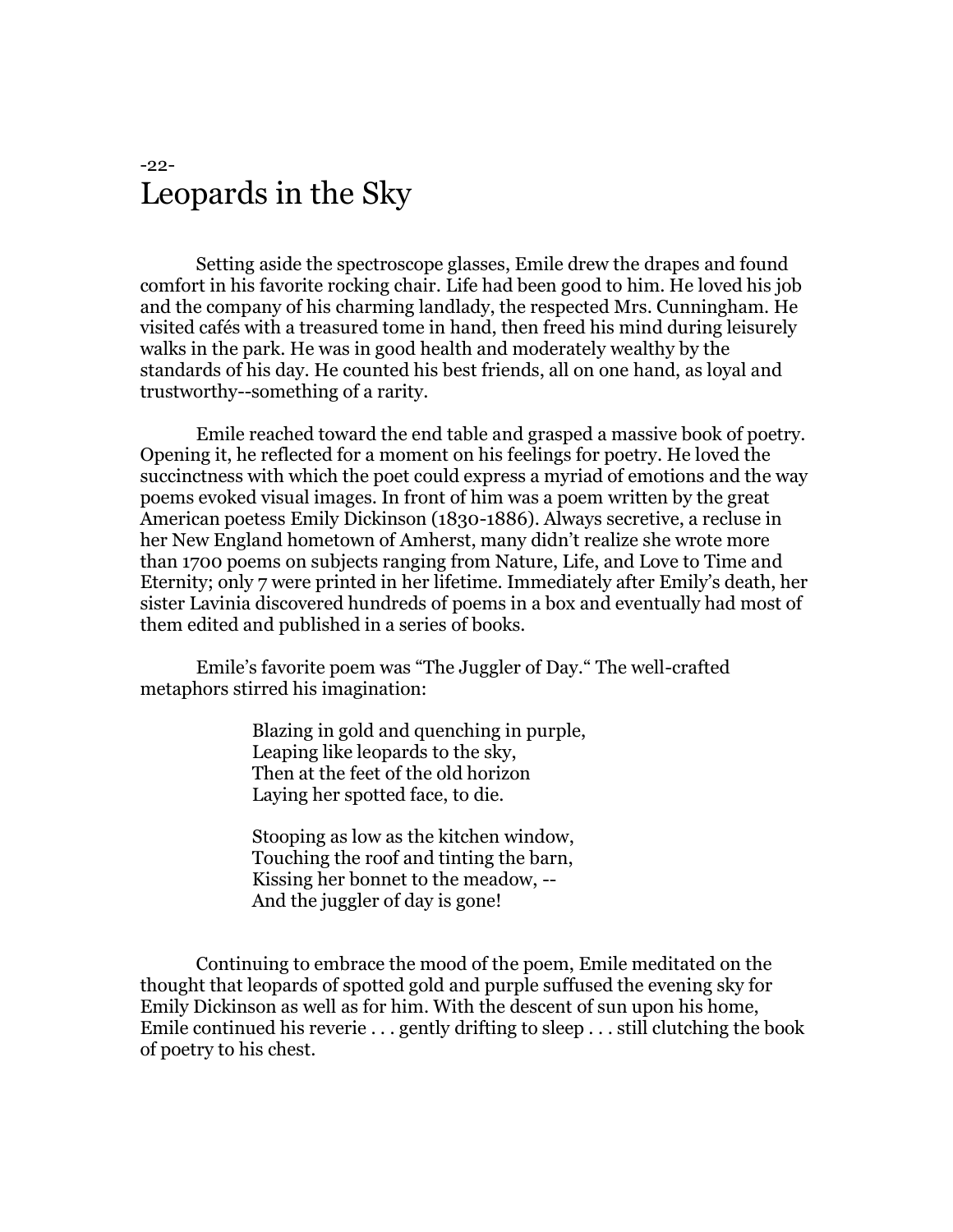#### -22- Leopards in the Sky

Setting aside the spectroscope glasses, Emile drew the drapes and found comfort in his favorite rocking chair. Life had been good to him. He loved his job and the company of his charming landlady, the respected Mrs. Cunningham. He visited cafés with a treasured tome in hand, then freed his mind during leisurely walks in the park. He was in good health and moderately wealthy by the standards of his day. He counted his best friends, all on one hand, as loyal and trustworthy--something of a rarity.

Emile reached toward the end table and grasped a massive book of poetry. Opening it, he reflected for a moment on his feelings for poetry. He loved the succinctness with which the poet could express a myriad of emotions and the way poems evoked visual images. In front of him was a poem written by the great American poetess Emily Dickinson (1830-1886). Always secretive, a recluse in her New England hometown of Amherst, many didn't realize she wrote more than 1700 poems on subjects ranging from Nature, Life, and Love to Time and Eternity; only 7 were printed in her lifetime. Immediately after Emily's death, her sister Lavinia discovered hundreds of poems in a box and eventually had most of them edited and published in a series of books.

Emile's favorite poem was "The Juggler of Day." The well-crafted metaphors stirred his imagination:

> Blazing in gold and quenching in purple, Leaping like leopards to the sky, Then at the feet of the old horizon Laying her spotted face, to die.

Stooping as low as the kitchen window, Touching the roof and tinting the barn, Kissing her bonnet to the meadow, -- And the juggler of day is gone!

Continuing to embrace the mood of the poem, Emile meditated on the thought that leopards of spotted gold and purple suffused the evening sky for Emily Dickinson as well as for him. With the descent of sun upon his home, Emile continued his reverie . . . gently drifting to sleep . . . still clutching the book of poetry to his chest.